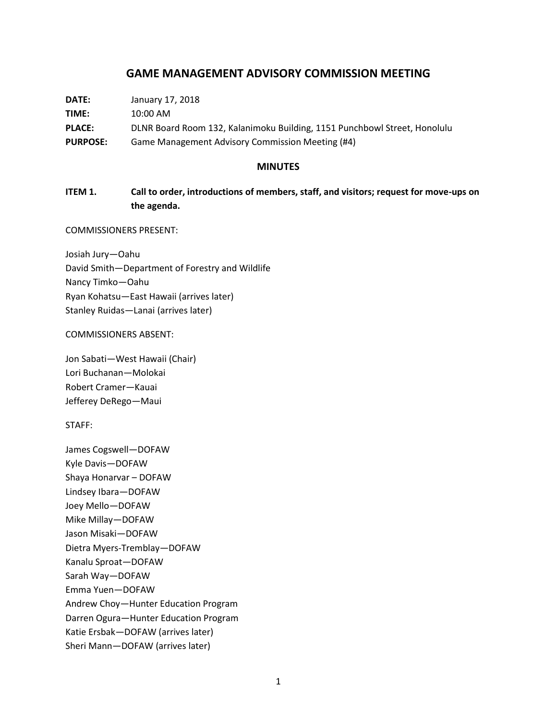# **GAME MANAGEMENT ADVISORY COMMISSION MEETING**

| DATE:           | January 17, 2018                                                          |
|-----------------|---------------------------------------------------------------------------|
| <b>TIME:</b>    | 10:00 AM                                                                  |
| <b>PLACE:</b>   | DLNR Board Room 132, Kalanimoku Building, 1151 Punchbowl Street, Honolulu |
| <b>PURPOSE:</b> | Game Management Advisory Commission Meeting (#4)                          |

#### **MINUTES**

# **ITEM 1. Call to order, introductions of members, staff, and visitors; request for move-ups on the agenda.**

#### COMMISSIONERS PRESENT:

Josiah Jury—Oahu David Smith—Department of Forestry and Wildlife Nancy Timko—Oahu Ryan Kohatsu—East Hawaii (arrives later) Stanley Ruidas—Lanai (arrives later)

### COMMISSIONERS ABSENT:

Jon Sabati—West Hawaii (Chair) Lori Buchanan—Molokai Robert Cramer—Kauai Jefferey DeRego—Maui

#### STAFF:

James Cogswell—DOFAW Kyle Davis—DOFAW Shaya Honarvar – DOFAW Lindsey Ibara—DOFAW Joey Mello—DOFAW Mike Millay—DOFAW Jason Misaki—DOFAW Dietra Myers-Tremblay—DOFAW Kanalu Sproat—DOFAW Sarah Way—DOFAW Emma Yuen—DOFAW Andrew Choy—Hunter Education Program Darren Ogura—Hunter Education Program Katie Ersbak—DOFAW (arrives later) Sheri Mann—DOFAW (arrives later)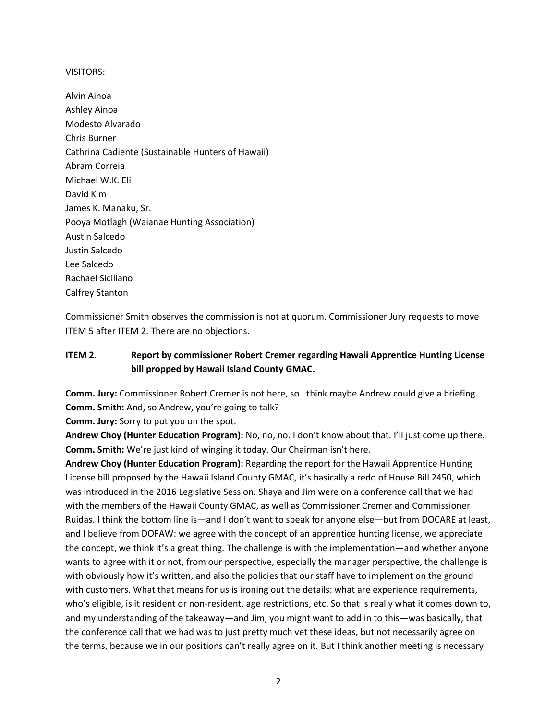#### VISITORS:

Alvin Ainoa Ashley Ainoa Modesto Alvarado Chris Burner Cathrina Cadiente (Sustainable Hunters of Hawaii) Abram Correia Michael W.K. Eli David Kim James K. Manaku, Sr. Pooya Motlagh (Waianae Hunting Association) Austin Salcedo Justin Salcedo Lee Salcedo Rachael Siciliano Calfrey Stanton

Commissioner Smith observes the commission is not at quorum. Commissioner Jury requests to move ITEM 5 after ITEM 2. There are no objections.

# **ITEM 2. Report by commissioner Robert Cremer regarding Hawaii Apprentice Hunting License bill propped by Hawaii Island County GMAC.**

**Comm. Jury:** Commissioner Robert Cremer is not here, so I think maybe Andrew could give a briefing. **Comm. Smith:** And, so Andrew, you're going to talk?

**Comm. Jury:** Sorry to put you on the spot.

**Andrew Choy (Hunter Education Program):** No, no, no. I don't know about that. I'll just come up there. **Comm. Smith:** We're just kind of winging it today. Our Chairman isn't here.

**Andrew Choy (Hunter Education Program):** Regarding the report for the Hawaii Apprentice Hunting License bill proposed by the Hawaii Island County GMAC, it's basically a redo of House Bill 2450, which was introduced in the 2016 Legislative Session. Shaya and Jim were on a conference call that we had with the members of the Hawaii County GMAC, as well as Commissioner Cremer and Commissioner Ruidas. I think the bottom line is—and I don't want to speak for anyone else—but from DOCARE at least, and I believe from DOFAW: we agree with the concept of an apprentice hunting license, we appreciate the concept, we think it's a great thing. The challenge is with the implementation—and whether anyone wants to agree with it or not, from our perspective, especially the manager perspective, the challenge is with obviously how it's written, and also the policies that our staff have to implement on the ground with customers. What that means for us is ironing out the details: what are experience requirements, who's eligible, is it resident or non-resident, age restrictions, etc. So that is really what it comes down to, and my understanding of the takeaway—and Jim, you might want to add in to this—was basically, that the conference call that we had was to just pretty much vet these ideas, but not necessarily agree on the terms, because we in our positions can't really agree on it. But I think another meeting is necessary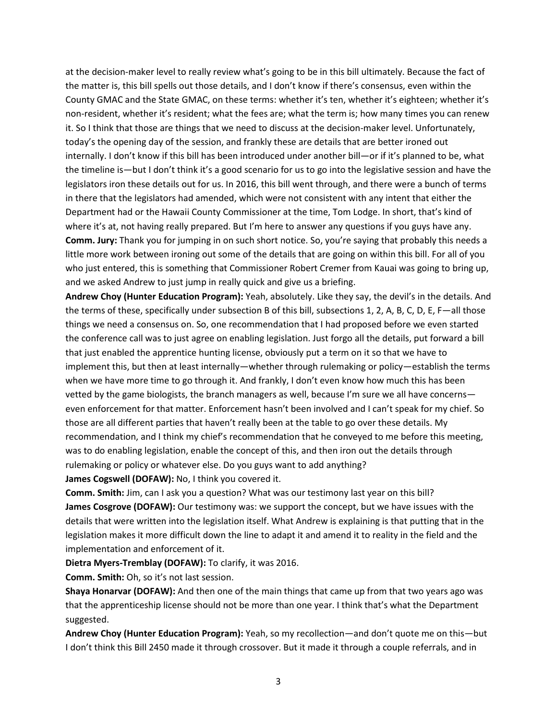at the decision-maker level to really review what's going to be in this bill ultimately. Because the fact of the matter is, this bill spells out those details, and I don't know if there's consensus, even within the County GMAC and the State GMAC, on these terms: whether it's ten, whether it's eighteen; whether it's non-resident, whether it's resident; what the fees are; what the term is; how many times you can renew it. So I think that those are things that we need to discuss at the decision-maker level. Unfortunately, today's the opening day of the session, and frankly these are details that are better ironed out internally. I don't know if this bill has been introduced under another bill—or if it's planned to be, what the timeline is—but I don't think it's a good scenario for us to go into the legislative session and have the legislators iron these details out for us. In 2016, this bill went through, and there were a bunch of terms in there that the legislators had amended, which were not consistent with any intent that either the Department had or the Hawaii County Commissioner at the time, Tom Lodge. In short, that's kind of where it's at, not having really prepared. But I'm here to answer any questions if you guys have any. **Comm. Jury:** Thank you for jumping in on such short notice. So, you're saying that probably this needs a little more work between ironing out some of the details that are going on within this bill. For all of you who just entered, this is something that Commissioner Robert Cremer from Kauai was going to bring up, and we asked Andrew to just jump in really quick and give us a briefing.

**Andrew Choy (Hunter Education Program):** Yeah, absolutely. Like they say, the devil's in the details. And the terms of these, specifically under subsection B of this bill, subsections 1, 2, A, B, C, D, E, F—all those things we need a consensus on. So, one recommendation that I had proposed before we even started the conference call was to just agree on enabling legislation. Just forgo all the details, put forward a bill that just enabled the apprentice hunting license, obviously put a term on it so that we have to implement this, but then at least internally—whether through rulemaking or policy—establish the terms when we have more time to go through it. And frankly, I don't even know how much this has been vetted by the game biologists, the branch managers as well, because I'm sure we all have concerns even enforcement for that matter. Enforcement hasn't been involved and I can't speak for my chief. So those are all different parties that haven't really been at the table to go over these details. My recommendation, and I think my chief's recommendation that he conveyed to me before this meeting, was to do enabling legislation, enable the concept of this, and then iron out the details through rulemaking or policy or whatever else. Do you guys want to add anything?

**James Cogswell (DOFAW):** No, I think you covered it.

**Comm. Smith:** Jim, can I ask you a question? What was our testimony last year on this bill? **James Cosgrove (DOFAW):** Our testimony was: we support the concept, but we have issues with the details that were written into the legislation itself. What Andrew is explaining is that putting that in the legislation makes it more difficult down the line to adapt it and amend it to reality in the field and the implementation and enforcement of it.

**Dietra Myers-Tremblay (DOFAW):** To clarify, it was 2016.

**Comm. Smith:** Oh, so it's not last session.

**Shaya Honarvar (DOFAW):** And then one of the main things that came up from that two years ago was that the apprenticeship license should not be more than one year. I think that's what the Department suggested.

**Andrew Choy (Hunter Education Program):** Yeah, so my recollection—and don't quote me on this—but I don't think this Bill 2450 made it through crossover. But it made it through a couple referrals, and in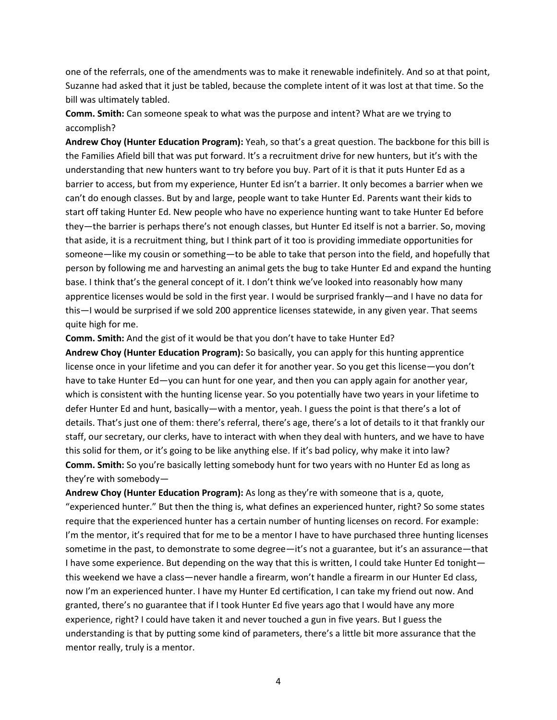one of the referrals, one of the amendments was to make it renewable indefinitely. And so at that point, Suzanne had asked that it just be tabled, because the complete intent of it was lost at that time. So the bill was ultimately tabled.

**Comm. Smith:** Can someone speak to what was the purpose and intent? What are we trying to accomplish?

**Andrew Choy (Hunter Education Program):** Yeah, so that's a great question. The backbone for this bill is the Families Afield bill that was put forward. It's a recruitment drive for new hunters, but it's with the understanding that new hunters want to try before you buy. Part of it is that it puts Hunter Ed as a barrier to access, but from my experience, Hunter Ed isn't a barrier. It only becomes a barrier when we can't do enough classes. But by and large, people want to take Hunter Ed. Parents want their kids to start off taking Hunter Ed. New people who have no experience hunting want to take Hunter Ed before they—the barrier is perhaps there's not enough classes, but Hunter Ed itself is not a barrier. So, moving that aside, it is a recruitment thing, but I think part of it too is providing immediate opportunities for someone—like my cousin or something—to be able to take that person into the field, and hopefully that person by following me and harvesting an animal gets the bug to take Hunter Ed and expand the hunting base. I think that's the general concept of it. I don't think we've looked into reasonably how many apprentice licenses would be sold in the first year. I would be surprised frankly—and I have no data for this—I would be surprised if we sold 200 apprentice licenses statewide, in any given year. That seems quite high for me.

**Comm. Smith:** And the gist of it would be that you don't have to take Hunter Ed?

**Andrew Choy (Hunter Education Program):** So basically, you can apply for this hunting apprentice license once in your lifetime and you can defer it for another year. So you get this license—you don't have to take Hunter Ed—you can hunt for one year, and then you can apply again for another year, which is consistent with the hunting license year. So you potentially have two years in your lifetime to defer Hunter Ed and hunt, basically—with a mentor, yeah. I guess the point is that there's a lot of details. That's just one of them: there's referral, there's age, there's a lot of details to it that frankly our staff, our secretary, our clerks, have to interact with when they deal with hunters, and we have to have this solid for them, or it's going to be like anything else. If it's bad policy, why make it into law? **Comm. Smith:** So you're basically letting somebody hunt for two years with no Hunter Ed as long as they're with somebody—

**Andrew Choy (Hunter Education Program):** As long as they're with someone that is a, quote, "experienced hunter." But then the thing is, what defines an experienced hunter, right? So some states require that the experienced hunter has a certain number of hunting licenses on record. For example: I'm the mentor, it's required that for me to be a mentor I have to have purchased three hunting licenses sometime in the past, to demonstrate to some degree—it's not a guarantee, but it's an assurance—that I have some experience. But depending on the way that this is written, I could take Hunter Ed tonight this weekend we have a class—never handle a firearm, won't handle a firearm in our Hunter Ed class, now I'm an experienced hunter. I have my Hunter Ed certification, I can take my friend out now. And granted, there's no guarantee that if I took Hunter Ed five years ago that I would have any more experience, right? I could have taken it and never touched a gun in five years. But I guess the understanding is that by putting some kind of parameters, there's a little bit more assurance that the mentor really, truly is a mentor.

4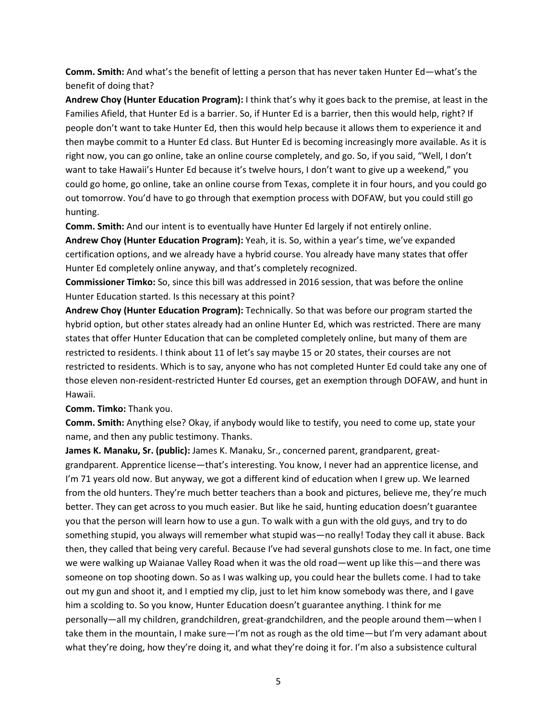**Comm. Smith:** And what's the benefit of letting a person that has never taken Hunter Ed—what's the benefit of doing that?

**Andrew Choy (Hunter Education Program):** I think that's why it goes back to the premise, at least in the Families Afield, that Hunter Ed is a barrier. So, if Hunter Ed is a barrier, then this would help, right? If people don't want to take Hunter Ed, then this would help because it allows them to experience it and then maybe commit to a Hunter Ed class. But Hunter Ed is becoming increasingly more available. As it is right now, you can go online, take an online course completely, and go. So, if you said, "Well, I don't want to take Hawaii's Hunter Ed because it's twelve hours, I don't want to give up a weekend," you could go home, go online, take an online course from Texas, complete it in four hours, and you could go out tomorrow. You'd have to go through that exemption process with DOFAW, but you could still go hunting.

**Comm. Smith:** And our intent is to eventually have Hunter Ed largely if not entirely online.

**Andrew Choy (Hunter Education Program):** Yeah, it is. So, within a year's time, we've expanded certification options, and we already have a hybrid course. You already have many states that offer Hunter Ed completely online anyway, and that's completely recognized.

**Commissioner Timko:** So, since this bill was addressed in 2016 session, that was before the online Hunter Education started. Is this necessary at this point?

**Andrew Choy (Hunter Education Program):** Technically. So that was before our program started the hybrid option, but other states already had an online Hunter Ed, which was restricted. There are many states that offer Hunter Education that can be completed completely online, but many of them are restricted to residents. I think about 11 of let's say maybe 15 or 20 states, their courses are not restricted to residents. Which is to say, anyone who has not completed Hunter Ed could take any one of those eleven non-resident-restricted Hunter Ed courses, get an exemption through DOFAW, and hunt in Hawaii.

**Comm. Timko:** Thank you.

**Comm. Smith:** Anything else? Okay, if anybody would like to testify, you need to come up, state your name, and then any public testimony. Thanks.

**James K. Manaku, Sr. (public):** James K. Manaku, Sr., concerned parent, grandparent, greatgrandparent. Apprentice license—that's interesting. You know, I never had an apprentice license, and I'm 71 years old now. But anyway, we got a different kind of education when I grew up. We learned from the old hunters. They're much better teachers than a book and pictures, believe me, they're much better. They can get across to you much easier. But like he said, hunting education doesn't guarantee you that the person will learn how to use a gun. To walk with a gun with the old guys, and try to do something stupid, you always will remember what stupid was—no really! Today they call it abuse. Back then, they called that being very careful. Because I've had several gunshots close to me. In fact, one time we were walking up Waianae Valley Road when it was the old road—went up like this—and there was someone on top shooting down. So as I was walking up, you could hear the bullets come. I had to take out my gun and shoot it, and I emptied my clip, just to let him know somebody was there, and I gave him a scolding to. So you know, Hunter Education doesn't guarantee anything. I think for me personally—all my children, grandchildren, great-grandchildren, and the people around them—when I take them in the mountain, I make sure—I'm not as rough as the old time—but I'm very adamant about what they're doing, how they're doing it, and what they're doing it for. I'm also a subsistence cultural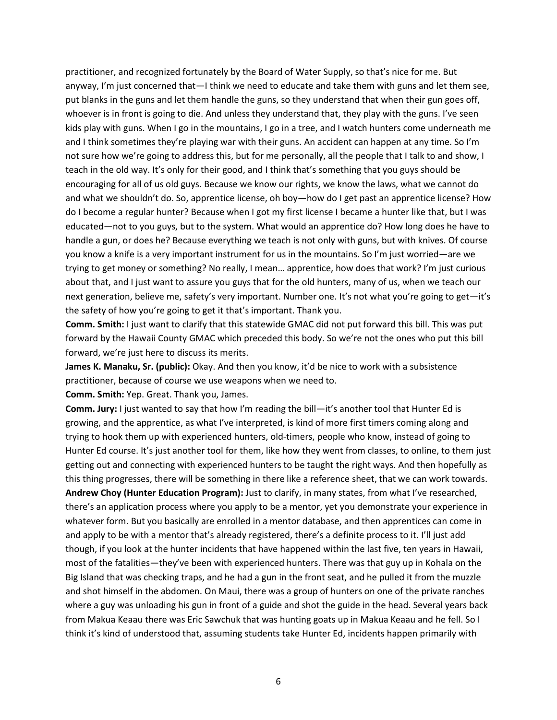practitioner, and recognized fortunately by the Board of Water Supply, so that's nice for me. But anyway, I'm just concerned that—I think we need to educate and take them with guns and let them see, put blanks in the guns and let them handle the guns, so they understand that when their gun goes off, whoever is in front is going to die. And unless they understand that, they play with the guns. I've seen kids play with guns. When I go in the mountains, I go in a tree, and I watch hunters come underneath me and I think sometimes they're playing war with their guns. An accident can happen at any time. So I'm not sure how we're going to address this, but for me personally, all the people that I talk to and show, I teach in the old way. It's only for their good, and I think that's something that you guys should be encouraging for all of us old guys. Because we know our rights, we know the laws, what we cannot do and what we shouldn't do. So, apprentice license, oh boy—how do I get past an apprentice license? How do I become a regular hunter? Because when I got my first license I became a hunter like that, but I was educated—not to you guys, but to the system. What would an apprentice do? How long does he have to handle a gun, or does he? Because everything we teach is not only with guns, but with knives. Of course you know a knife is a very important instrument for us in the mountains. So I'm just worried—are we trying to get money or something? No really, I mean… apprentice, how does that work? I'm just curious about that, and I just want to assure you guys that for the old hunters, many of us, when we teach our next generation, believe me, safety's very important. Number one. It's not what you're going to get-it's the safety of how you're going to get it that's important. Thank you.

**Comm. Smith:** I just want to clarify that this statewide GMAC did not put forward this bill. This was put forward by the Hawaii County GMAC which preceded this body. So we're not the ones who put this bill forward, we're just here to discuss its merits.

**James K. Manaku, Sr. (public):** Okay. And then you know, it'd be nice to work with a subsistence practitioner, because of course we use weapons when we need to.

**Comm. Smith:** Yep. Great. Thank you, James.

**Comm. Jury:** I just wanted to say that how I'm reading the bill—it's another tool that Hunter Ed is growing, and the apprentice, as what I've interpreted, is kind of more first timers coming along and trying to hook them up with experienced hunters, old-timers, people who know, instead of going to Hunter Ed course. It's just another tool for them, like how they went from classes, to online, to them just getting out and connecting with experienced hunters to be taught the right ways. And then hopefully as this thing progresses, there will be something in there like a reference sheet, that we can work towards. **Andrew Choy (Hunter Education Program):** Just to clarify, in many states, from what I've researched, there's an application process where you apply to be a mentor, yet you demonstrate your experience in whatever form. But you basically are enrolled in a mentor database, and then apprentices can come in and apply to be with a mentor that's already registered, there's a definite process to it. I'll just add though, if you look at the hunter incidents that have happened within the last five, ten years in Hawaii, most of the fatalities—they've been with experienced hunters. There was that guy up in Kohala on the Big Island that was checking traps, and he had a gun in the front seat, and he pulled it from the muzzle and shot himself in the abdomen. On Maui, there was a group of hunters on one of the private ranches where a guy was unloading his gun in front of a guide and shot the guide in the head. Several years back from Makua Keaau there was Eric Sawchuk that was hunting goats up in Makua Keaau and he fell. So I think it's kind of understood that, assuming students take Hunter Ed, incidents happen primarily with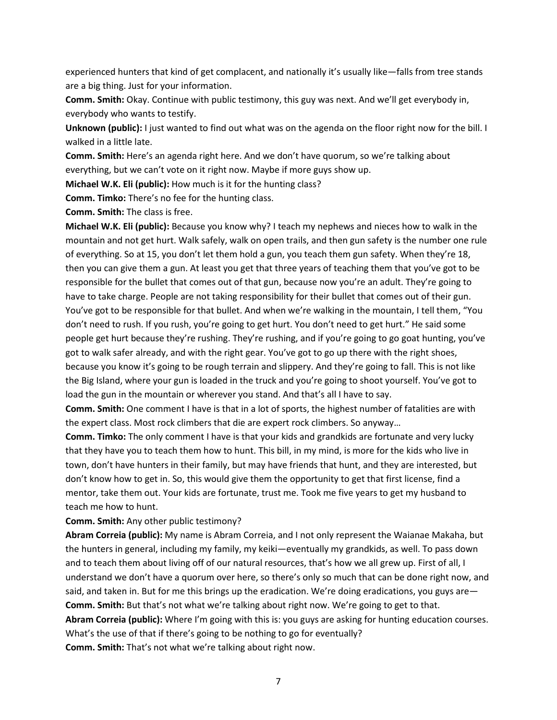experienced hunters that kind of get complacent, and nationally it's usually like—falls from tree stands are a big thing. Just for your information.

**Comm. Smith:** Okay. Continue with public testimony, this guy was next. And we'll get everybody in, everybody who wants to testify.

**Unknown (public):** I just wanted to find out what was on the agenda on the floor right now for the bill. I walked in a little late.

**Comm. Smith:** Here's an agenda right here. And we don't have quorum, so we're talking about everything, but we can't vote on it right now. Maybe if more guys show up.

**Michael W.K. Eli (public):** How much is it for the hunting class?

**Comm. Timko:** There's no fee for the hunting class.

**Comm. Smith:** The class is free.

**Michael W.K. Eli (public):** Because you know why? I teach my nephews and nieces how to walk in the mountain and not get hurt. Walk safely, walk on open trails, and then gun safety is the number one rule of everything. So at 15, you don't let them hold a gun, you teach them gun safety. When they're 18, then you can give them a gun. At least you get that three years of teaching them that you've got to be responsible for the bullet that comes out of that gun, because now you're an adult. They're going to have to take charge. People are not taking responsibility for their bullet that comes out of their gun. You've got to be responsible for that bullet. And when we're walking in the mountain, I tell them, "You don't need to rush. If you rush, you're going to get hurt. You don't need to get hurt." He said some people get hurt because they're rushing. They're rushing, and if you're going to go goat hunting, you've got to walk safer already, and with the right gear. You've got to go up there with the right shoes, because you know it's going to be rough terrain and slippery. And they're going to fall. This is not like the Big Island, where your gun is loaded in the truck and you're going to shoot yourself. You've got to load the gun in the mountain or wherever you stand. And that's all I have to say.

**Comm. Smith:** One comment I have is that in a lot of sports, the highest number of fatalities are with the expert class. Most rock climbers that die are expert rock climbers. So anyway…

**Comm. Timko:** The only comment I have is that your kids and grandkids are fortunate and very lucky that they have you to teach them how to hunt. This bill, in my mind, is more for the kids who live in town, don't have hunters in their family, but may have friends that hunt, and they are interested, but don't know how to get in. So, this would give them the opportunity to get that first license, find a mentor, take them out. Your kids are fortunate, trust me. Took me five years to get my husband to teach me how to hunt.

**Comm. Smith:** Any other public testimony?

**Abram Correia (public):** My name is Abram Correia, and I not only represent the Waianae Makaha, but the hunters in general, including my family, my keiki—eventually my grandkids, as well. To pass down and to teach them about living off of our natural resources, that's how we all grew up. First of all, I understand we don't have a quorum over here, so there's only so much that can be done right now, and said, and taken in. But for me this brings up the eradication. We're doing eradications, you guys are— **Comm. Smith:** But that's not what we're talking about right now. We're going to get to that. **Abram Correia (public):** Where I'm going with this is: you guys are asking for hunting education courses. What's the use of that if there's going to be nothing to go for eventually? **Comm. Smith:** That's not what we're talking about right now.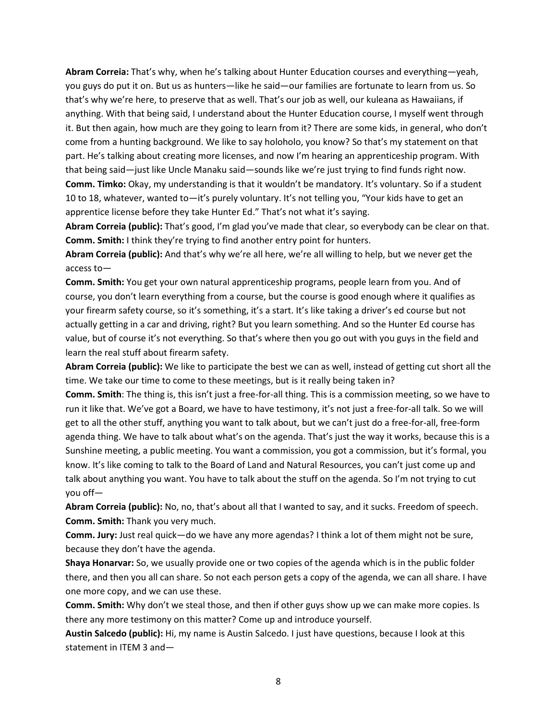**Abram Correia:** That's why, when he's talking about Hunter Education courses and everything—yeah, you guys do put it on. But us as hunters—like he said—our families are fortunate to learn from us. So that's why we're here, to preserve that as well. That's our job as well, our kuleana as Hawaiians, if anything. With that being said, I understand about the Hunter Education course, I myself went through it. But then again, how much are they going to learn from it? There are some kids, in general, who don't come from a hunting background. We like to say holoholo, you know? So that's my statement on that part. He's talking about creating more licenses, and now I'm hearing an apprenticeship program. With that being said—just like Uncle Manaku said—sounds like we're just trying to find funds right now. **Comm. Timko:** Okay, my understanding is that it wouldn't be mandatory. It's voluntary. So if a student 10 to 18, whatever, wanted to—it's purely voluntary. It's not telling you, "Your kids have to get an apprentice license before they take Hunter Ed." That's not what it's saying.

**Abram Correia (public):** That's good, I'm glad you've made that clear, so everybody can be clear on that. **Comm. Smith:** I think they're trying to find another entry point for hunters.

**Abram Correia (public):** And that's why we're all here, we're all willing to help, but we never get the access to—

**Comm. Smith:** You get your own natural apprenticeship programs, people learn from you. And of course, you don't learn everything from a course, but the course is good enough where it qualifies as your firearm safety course, so it's something, it's a start. It's like taking a driver's ed course but not actually getting in a car and driving, right? But you learn something. And so the Hunter Ed course has value, but of course it's not everything. So that's where then you go out with you guys in the field and learn the real stuff about firearm safety.

**Abram Correia (public):** We like to participate the best we can as well, instead of getting cut short all the time. We take our time to come to these meetings, but is it really being taken in?

**Comm. Smith**: The thing is, this isn't just a free-for-all thing. This is a commission meeting, so we have to run it like that. We've got a Board, we have to have testimony, it's not just a free-for-all talk. So we will get to all the other stuff, anything you want to talk about, but we can't just do a free-for-all, free-form agenda thing. We have to talk about what's on the agenda. That's just the way it works, because this is a Sunshine meeting, a public meeting. You want a commission, you got a commission, but it's formal, you know. It's like coming to talk to the Board of Land and Natural Resources, you can't just come up and talk about anything you want. You have to talk about the stuff on the agenda. So I'm not trying to cut you off—

**Abram Correia (public):** No, no, that's about all that I wanted to say, and it sucks. Freedom of speech. **Comm. Smith:** Thank you very much.

**Comm. Jury:** Just real quick—do we have any more agendas? I think a lot of them might not be sure, because they don't have the agenda.

**Shaya Honarvar:** So, we usually provide one or two copies of the agenda which is in the public folder there, and then you all can share. So not each person gets a copy of the agenda, we can all share. I have one more copy, and we can use these.

**Comm. Smith:** Why don't we steal those, and then if other guys show up we can make more copies. Is there any more testimony on this matter? Come up and introduce yourself.

**Austin Salcedo (public):** Hi, my name is Austin Salcedo. I just have questions, because I look at this statement in ITEM 3 and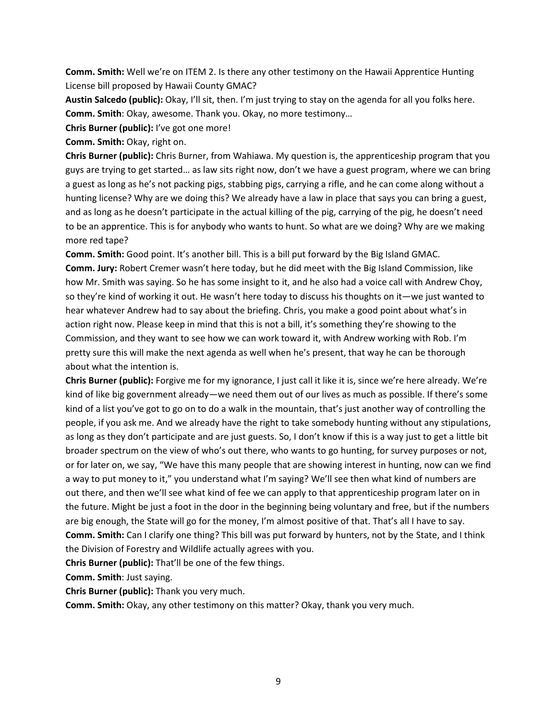**Comm. Smith:** Well we're on ITEM 2. Is there any other testimony on the Hawaii Apprentice Hunting License bill proposed by Hawaii County GMAC?

**Austin Salcedo (public):** Okay, I'll sit, then. I'm just trying to stay on the agenda for all you folks here. **Comm. Smith**: Okay, awesome. Thank you. Okay, no more testimony…

**Chris Burner (public):** I've got one more!

**Comm. Smith:** Okay, right on.

**Chris Burner (public):** Chris Burner, from Wahiawa. My question is, the apprenticeship program that you guys are trying to get started… as law sits right now, don't we have a guest program, where we can bring a guest as long as he's not packing pigs, stabbing pigs, carrying a rifle, and he can come along without a hunting license? Why are we doing this? We already have a law in place that says you can bring a guest, and as long as he doesn't participate in the actual killing of the pig, carrying of the pig, he doesn't need to be an apprentice. This is for anybody who wants to hunt. So what are we doing? Why are we making more red tape?

**Comm. Smith:** Good point. It's another bill. This is a bill put forward by the Big Island GMAC. **Comm. Jury:** Robert Cremer wasn't here today, but he did meet with the Big Island Commission, like how Mr. Smith was saying. So he has some insight to it, and he also had a voice call with Andrew Choy, so they're kind of working it out. He wasn't here today to discuss his thoughts on it—we just wanted to hear whatever Andrew had to say about the briefing. Chris, you make a good point about what's in action right now. Please keep in mind that this is not a bill, it's something they're showing to the Commission, and they want to see how we can work toward it, with Andrew working with Rob. I'm pretty sure this will make the next agenda as well when he's present, that way he can be thorough about what the intention is.

**Chris Burner (public):** Forgive me for my ignorance, I just call it like it is, since we're here already. We're kind of like big government already—we need them out of our lives as much as possible. If there's some kind of a list you've got to go on to do a walk in the mountain, that's just another way of controlling the people, if you ask me. And we already have the right to take somebody hunting without any stipulations, as long as they don't participate and are just guests. So, I don't know if this is a way just to get a little bit broader spectrum on the view of who's out there, who wants to go hunting, for survey purposes or not, or for later on, we say, "We have this many people that are showing interest in hunting, now can we find a way to put money to it," you understand what I'm saying? We'll see then what kind of numbers are out there, and then we'll see what kind of fee we can apply to that apprenticeship program later on in the future. Might be just a foot in the door in the beginning being voluntary and free, but if the numbers are big enough, the State will go for the money, I'm almost positive of that. That's all I have to say. **Comm. Smith:** Can I clarify one thing? This bill was put forward by hunters, not by the State, and I think the Division of Forestry and Wildlife actually agrees with you.

**Chris Burner (public):** That'll be one of the few things.

**Comm. Smith**: Just saying.

**Chris Burner (public):** Thank you very much.

**Comm. Smith:** Okay, any other testimony on this matter? Okay, thank you very much.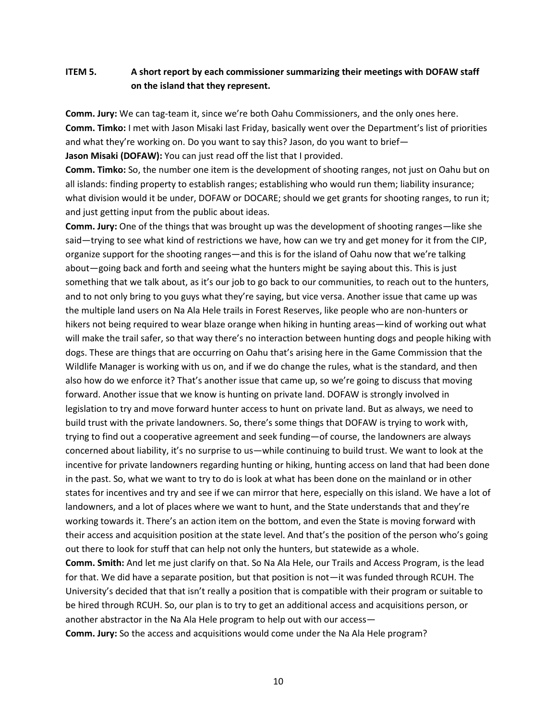# **ITEM 5. A short report by each commissioner summarizing their meetings with DOFAW staff on the island that they represent.**

**Comm. Jury:** We can tag-team it, since we're both Oahu Commissioners, and the only ones here. **Comm. Timko:** I met with Jason Misaki last Friday, basically went over the Department's list of priorities and what they're working on. Do you want to say this? Jason, do you want to brief— **Jason Misaki (DOFAW):** You can just read off the list that I provided.

**Comm. Timko:** So, the number one item is the development of shooting ranges, not just on Oahu but on all islands: finding property to establish ranges; establishing who would run them; liability insurance; what division would it be under, DOFAW or DOCARE; should we get grants for shooting ranges, to run it; and just getting input from the public about ideas.

**Comm. Jury:** One of the things that was brought up was the development of shooting ranges—like she said—trying to see what kind of restrictions we have, how can we try and get money for it from the CIP, organize support for the shooting ranges—and this is for the island of Oahu now that we're talking about—going back and forth and seeing what the hunters might be saying about this. This is just something that we talk about, as it's our job to go back to our communities, to reach out to the hunters, and to not only bring to you guys what they're saying, but vice versa. Another issue that came up was the multiple land users on Na Ala Hele trails in Forest Reserves, like people who are non-hunters or hikers not being required to wear blaze orange when hiking in hunting areas—kind of working out what will make the trail safer, so that way there's no interaction between hunting dogs and people hiking with dogs. These are things that are occurring on Oahu that's arising here in the Game Commission that the Wildlife Manager is working with us on, and if we do change the rules, what is the standard, and then also how do we enforce it? That's another issue that came up, so we're going to discuss that moving forward. Another issue that we know is hunting on private land. DOFAW is strongly involved in legislation to try and move forward hunter access to hunt on private land. But as always, we need to build trust with the private landowners. So, there's some things that DOFAW is trying to work with, trying to find out a cooperative agreement and seek funding—of course, the landowners are always concerned about liability, it's no surprise to us—while continuing to build trust. We want to look at the incentive for private landowners regarding hunting or hiking, hunting access on land that had been done in the past. So, what we want to try to do is look at what has been done on the mainland or in other states for incentives and try and see if we can mirror that here, especially on this island. We have a lot of landowners, and a lot of places where we want to hunt, and the State understands that and they're working towards it. There's an action item on the bottom, and even the State is moving forward with their access and acquisition position at the state level. And that's the position of the person who's going out there to look for stuff that can help not only the hunters, but statewide as a whole.

**Comm. Smith:** And let me just clarify on that. So Na Ala Hele, our Trails and Access Program, is the lead for that. We did have a separate position, but that position is not—it was funded through RCUH. The University's decided that that isn't really a position that is compatible with their program or suitable to be hired through RCUH. So, our plan is to try to get an additional access and acquisitions person, or another abstractor in the Na Ala Hele program to help out with our access—

**Comm. Jury:** So the access and acquisitions would come under the Na Ala Hele program?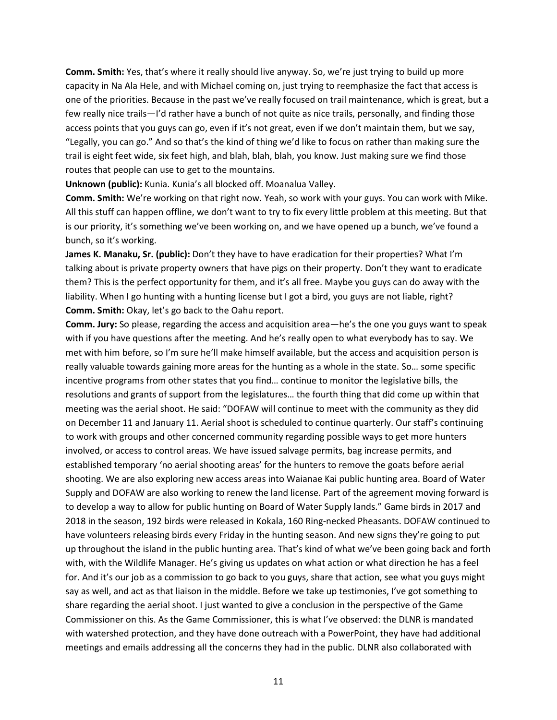**Comm. Smith:** Yes, that's where it really should live anyway. So, we're just trying to build up more capacity in Na Ala Hele, and with Michael coming on, just trying to reemphasize the fact that access is one of the priorities. Because in the past we've really focused on trail maintenance, which is great, but a few really nice trails—I'd rather have a bunch of not quite as nice trails, personally, and finding those access points that you guys can go, even if it's not great, even if we don't maintain them, but we say, "Legally, you can go." And so that's the kind of thing we'd like to focus on rather than making sure the trail is eight feet wide, six feet high, and blah, blah, blah, you know. Just making sure we find those routes that people can use to get to the mountains.

**Unknown (public):** Kunia. Kunia's all blocked off. Moanalua Valley.

**Comm. Smith:** We're working on that right now. Yeah, so work with your guys. You can work with Mike. All this stuff can happen offline, we don't want to try to fix every little problem at this meeting. But that is our priority, it's something we've been working on, and we have opened up a bunch, we've found a bunch, so it's working.

**James K. Manaku, Sr. (public):** Don't they have to have eradication for their properties? What I'm talking about is private property owners that have pigs on their property. Don't they want to eradicate them? This is the perfect opportunity for them, and it's all free. Maybe you guys can do away with the liability. When I go hunting with a hunting license but I got a bird, you guys are not liable, right? **Comm. Smith:** Okay, let's go back to the Oahu report.

**Comm. Jury:** So please, regarding the access and acquisition area—he's the one you guys want to speak with if you have questions after the meeting. And he's really open to what everybody has to say. We met with him before, so I'm sure he'll make himself available, but the access and acquisition person is really valuable towards gaining more areas for the hunting as a whole in the state. So… some specific incentive programs from other states that you find… continue to monitor the legislative bills, the resolutions and grants of support from the legislatures… the fourth thing that did come up within that meeting was the aerial shoot. He said: "DOFAW will continue to meet with the community as they did on December 11 and January 11. Aerial shoot is scheduled to continue quarterly. Our staff's continuing to work with groups and other concerned community regarding possible ways to get more hunters involved, or access to control areas. We have issued salvage permits, bag increase permits, and established temporary 'no aerial shooting areas' for the hunters to remove the goats before aerial shooting. We are also exploring new access areas into Waianae Kai public hunting area. Board of Water Supply and DOFAW are also working to renew the land license. Part of the agreement moving forward is to develop a way to allow for public hunting on Board of Water Supply lands." Game birds in 2017 and 2018 in the season, 192 birds were released in Kokala, 160 Ring-necked Pheasants. DOFAW continued to have volunteers releasing birds every Friday in the hunting season. And new signs they're going to put up throughout the island in the public hunting area. That's kind of what we've been going back and forth with, with the Wildlife Manager. He's giving us updates on what action or what direction he has a feel for. And it's our job as a commission to go back to you guys, share that action, see what you guys might say as well, and act as that liaison in the middle. Before we take up testimonies, I've got something to share regarding the aerial shoot. I just wanted to give a conclusion in the perspective of the Game Commissioner on this. As the Game Commissioner, this is what I've observed: the DLNR is mandated with watershed protection, and they have done outreach with a PowerPoint, they have had additional meetings and emails addressing all the concerns they had in the public. DLNR also collaborated with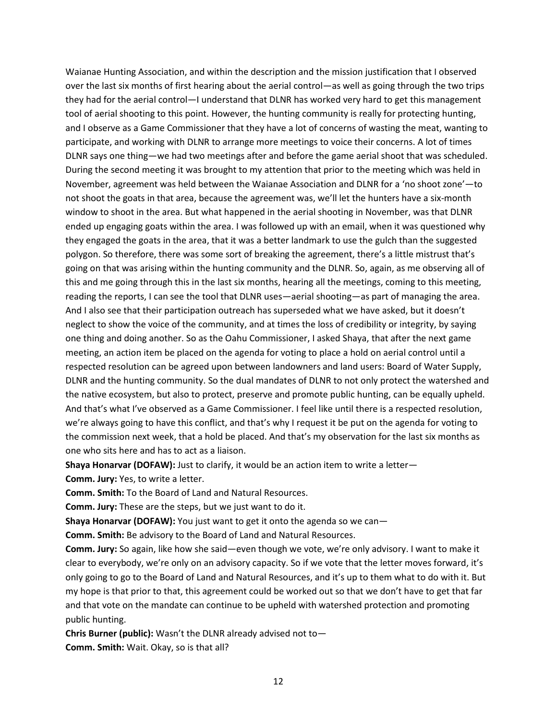Waianae Hunting Association, and within the description and the mission justification that I observed over the last six months of first hearing about the aerial control—as well as going through the two trips they had for the aerial control—I understand that DLNR has worked very hard to get this management tool of aerial shooting to this point. However, the hunting community is really for protecting hunting, and I observe as a Game Commissioner that they have a lot of concerns of wasting the meat, wanting to participate, and working with DLNR to arrange more meetings to voice their concerns. A lot of times DLNR says one thing—we had two meetings after and before the game aerial shoot that was scheduled. During the second meeting it was brought to my attention that prior to the meeting which was held in November, agreement was held between the Waianae Association and DLNR for a 'no shoot zone'—to not shoot the goats in that area, because the agreement was, we'll let the hunters have a six-month window to shoot in the area. But what happened in the aerial shooting in November, was that DLNR ended up engaging goats within the area. I was followed up with an email, when it was questioned why they engaged the goats in the area, that it was a better landmark to use the gulch than the suggested polygon. So therefore, there was some sort of breaking the agreement, there's a little mistrust that's going on that was arising within the hunting community and the DLNR. So, again, as me observing all of this and me going through this in the last six months, hearing all the meetings, coming to this meeting, reading the reports, I can see the tool that DLNR uses—aerial shooting—as part of managing the area. And I also see that their participation outreach has superseded what we have asked, but it doesn't neglect to show the voice of the community, and at times the loss of credibility or integrity, by saying one thing and doing another. So as the Oahu Commissioner, I asked Shaya, that after the next game meeting, an action item be placed on the agenda for voting to place a hold on aerial control until a respected resolution can be agreed upon between landowners and land users: Board of Water Supply, DLNR and the hunting community. So the dual mandates of DLNR to not only protect the watershed and the native ecosystem, but also to protect, preserve and promote public hunting, can be equally upheld. And that's what I've observed as a Game Commissioner. I feel like until there is a respected resolution, we're always going to have this conflict, and that's why I request it be put on the agenda for voting to the commission next week, that a hold be placed. And that's my observation for the last six months as one who sits here and has to act as a liaison.

**Shaya Honarvar (DOFAW):** Just to clarify, it would be an action item to write a letter—

**Comm. Jury:** Yes, to write a letter.

**Comm. Smith:** To the Board of Land and Natural Resources.

**Comm. Jury:** These are the steps, but we just want to do it.

**Shaya Honarvar (DOFAW):** You just want to get it onto the agenda so we can—

**Comm. Smith:** Be advisory to the Board of Land and Natural Resources.

**Comm. Jury:** So again, like how she said—even though we vote, we're only advisory. I want to make it clear to everybody, we're only on an advisory capacity. So if we vote that the letter moves forward, it's only going to go to the Board of Land and Natural Resources, and it's up to them what to do with it. But my hope is that prior to that, this agreement could be worked out so that we don't have to get that far and that vote on the mandate can continue to be upheld with watershed protection and promoting public hunting.

**Chris Burner (public):** Wasn't the DLNR already advised not to— **Comm. Smith:** Wait. Okay, so is that all?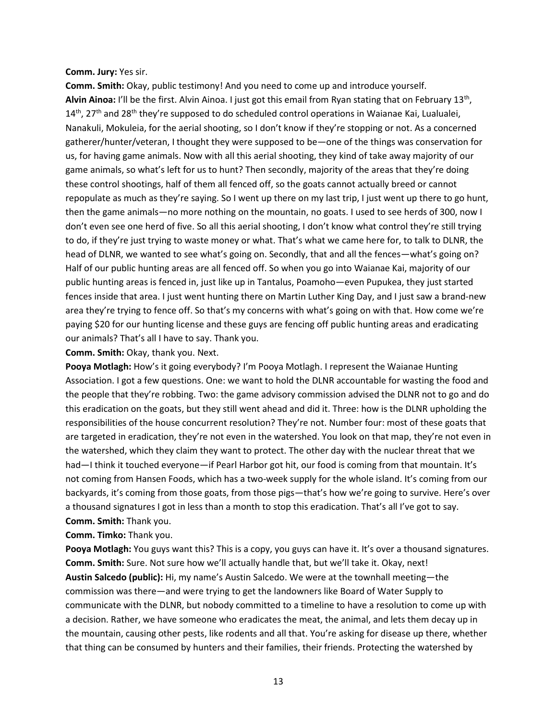#### **Comm. Jury:** Yes sir.

**Comm. Smith:** Okay, public testimony! And you need to come up and introduce yourself. Alvin Ainoa: I'll be the first. Alvin Ainoa. I just got this email from Ryan stating that on February 13<sup>th</sup>, 14<sup>th</sup>, 27<sup>th</sup> and 28<sup>th</sup> they're supposed to do scheduled control operations in Waianae Kai, Lualualei, Nanakuli, Mokuleia, for the aerial shooting, so I don't know if they're stopping or not. As a concerned gatherer/hunter/veteran, I thought they were supposed to be—one of the things was conservation for us, for having game animals. Now with all this aerial shooting, they kind of take away majority of our game animals, so what's left for us to hunt? Then secondly, majority of the areas that they're doing these control shootings, half of them all fenced off, so the goats cannot actually breed or cannot repopulate as much as they're saying. So I went up there on my last trip, I just went up there to go hunt, then the game animals—no more nothing on the mountain, no goats. I used to see herds of 300, now I don't even see one herd of five. So all this aerial shooting, I don't know what control they're still trying to do, if they're just trying to waste money or what. That's what we came here for, to talk to DLNR, the head of DLNR, we wanted to see what's going on. Secondly, that and all the fences—what's going on? Half of our public hunting areas are all fenced off. So when you go into Waianae Kai, majority of our public hunting areas is fenced in, just like up in Tantalus, Poamoho—even Pupukea, they just started fences inside that area. I just went hunting there on Martin Luther King Day, and I just saw a brand-new area they're trying to fence off. So that's my concerns with what's going on with that. How come we're paying \$20 for our hunting license and these guys are fencing off public hunting areas and eradicating our animals? That's all I have to say. Thank you.

#### **Comm. Smith:** Okay, thank you. Next.

**Pooya Motlagh:** How's it going everybody? I'm Pooya Motlagh. I represent the Waianae Hunting Association. I got a few questions. One: we want to hold the DLNR accountable for wasting the food and the people that they're robbing. Two: the game advisory commission advised the DLNR not to go and do this eradication on the goats, but they still went ahead and did it. Three: how is the DLNR upholding the responsibilities of the house concurrent resolution? They're not. Number four: most of these goats that are targeted in eradication, they're not even in the watershed. You look on that map, they're not even in the watershed, which they claim they want to protect. The other day with the nuclear threat that we had—I think it touched everyone—if Pearl Harbor got hit, our food is coming from that mountain. It's not coming from Hansen Foods, which has a two-week supply for the whole island. It's coming from our backyards, it's coming from those goats, from those pigs—that's how we're going to survive. Here's over a thousand signatures I got in less than a month to stop this eradication. That's all I've got to say. **Comm. Smith:** Thank you.

#### **Comm. Timko:** Thank you.

**Pooya Motlagh:** You guys want this? This is a copy, you guys can have it. It's over a thousand signatures. **Comm. Smith:** Sure. Not sure how we'll actually handle that, but we'll take it. Okay, next! **Austin Salcedo (public):** Hi, my name's Austin Salcedo. We were at the townhall meeting—the commission was there—and were trying to get the landowners like Board of Water Supply to communicate with the DLNR, but nobody committed to a timeline to have a resolution to come up with a decision. Rather, we have someone who eradicates the meat, the animal, and lets them decay up in the mountain, causing other pests, like rodents and all that. You're asking for disease up there, whether that thing can be consumed by hunters and their families, their friends. Protecting the watershed by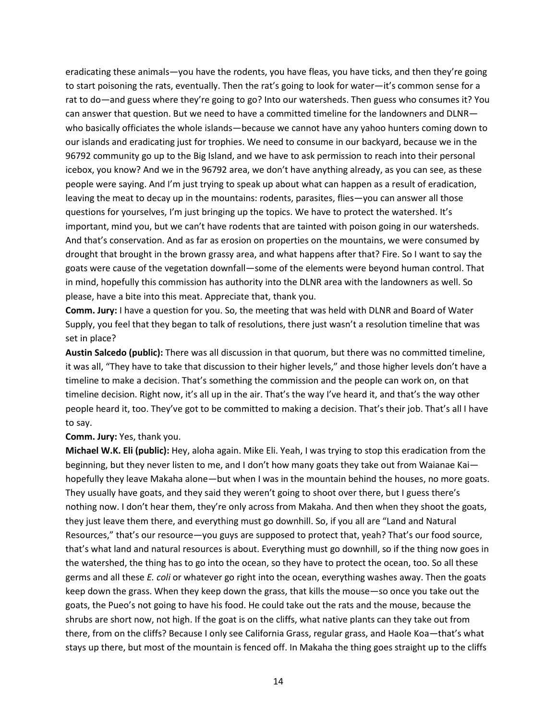eradicating these animals—you have the rodents, you have fleas, you have ticks, and then they're going to start poisoning the rats, eventually. Then the rat's going to look for water—it's common sense for a rat to do—and guess where they're going to go? Into our watersheds. Then guess who consumes it? You can answer that question. But we need to have a committed timeline for the landowners and DLNR who basically officiates the whole islands—because we cannot have any yahoo hunters coming down to our islands and eradicating just for trophies. We need to consume in our backyard, because we in the 96792 community go up to the Big Island, and we have to ask permission to reach into their personal icebox, you know? And we in the 96792 area, we don't have anything already, as you can see, as these people were saying. And I'm just trying to speak up about what can happen as a result of eradication, leaving the meat to decay up in the mountains: rodents, parasites, flies—you can answer all those questions for yourselves, I'm just bringing up the topics. We have to protect the watershed. It's important, mind you, but we can't have rodents that are tainted with poison going in our watersheds. And that's conservation. And as far as erosion on properties on the mountains, we were consumed by drought that brought in the brown grassy area, and what happens after that? Fire. So I want to say the goats were cause of the vegetation downfall—some of the elements were beyond human control. That in mind, hopefully this commission has authority into the DLNR area with the landowners as well. So please, have a bite into this meat. Appreciate that, thank you.

**Comm. Jury:** I have a question for you. So, the meeting that was held with DLNR and Board of Water Supply, you feel that they began to talk of resolutions, there just wasn't a resolution timeline that was set in place?

**Austin Salcedo (public):** There was all discussion in that quorum, but there was no committed timeline, it was all, "They have to take that discussion to their higher levels," and those higher levels don't have a timeline to make a decision. That's something the commission and the people can work on, on that timeline decision. Right now, it's all up in the air. That's the way I've heard it, and that's the way other people heard it, too. They've got to be committed to making a decision. That's their job. That's all I have to say.

**Comm. Jury:** Yes, thank you.

**Michael W.K. Eli (public):** Hey, aloha again. Mike Eli. Yeah, I was trying to stop this eradication from the beginning, but they never listen to me, and I don't how many goats they take out from Waianae Kai hopefully they leave Makaha alone—but when I was in the mountain behind the houses, no more goats. They usually have goats, and they said they weren't going to shoot over there, but I guess there's nothing now. I don't hear them, they're only across from Makaha. And then when they shoot the goats, they just leave them there, and everything must go downhill. So, if you all are "Land and Natural Resources," that's our resource—you guys are supposed to protect that, yeah? That's our food source, that's what land and natural resources is about. Everything must go downhill, so if the thing now goes in the watershed, the thing has to go into the ocean, so they have to protect the ocean, too. So all these germs and all these *E. coli* or whatever go right into the ocean, everything washes away. Then the goats keep down the grass. When they keep down the grass, that kills the mouse—so once you take out the goats, the Pueo's not going to have his food. He could take out the rats and the mouse, because the shrubs are short now, not high. If the goat is on the cliffs, what native plants can they take out from there, from on the cliffs? Because I only see California Grass, regular grass, and Haole Koa—that's what stays up there, but most of the mountain is fenced off. In Makaha the thing goes straight up to the cliffs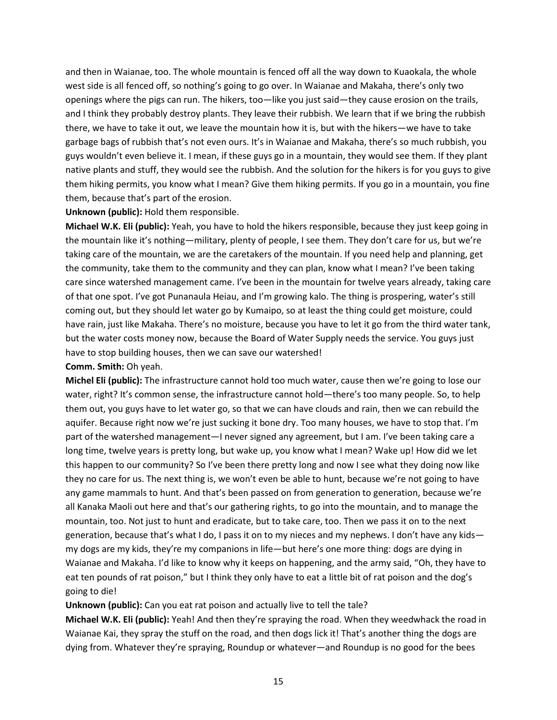and then in Waianae, too. The whole mountain is fenced off all the way down to Kuaokala, the whole west side is all fenced off, so nothing's going to go over. In Waianae and Makaha, there's only two openings where the pigs can run. The hikers, too—like you just said—they cause erosion on the trails, and I think they probably destroy plants. They leave their rubbish. We learn that if we bring the rubbish there, we have to take it out, we leave the mountain how it is, but with the hikers—we have to take garbage bags of rubbish that's not even ours. It's in Waianae and Makaha, there's so much rubbish, you guys wouldn't even believe it. I mean, if these guys go in a mountain, they would see them. If they plant native plants and stuff, they would see the rubbish. And the solution for the hikers is for you guys to give them hiking permits, you know what I mean? Give them hiking permits. If you go in a mountain, you fine them, because that's part of the erosion.

#### **Unknown (public):** Hold them responsible.

**Michael W.K. Eli (public):** Yeah, you have to hold the hikers responsible, because they just keep going in the mountain like it's nothing—military, plenty of people, I see them. They don't care for us, but we're taking care of the mountain, we are the caretakers of the mountain. If you need help and planning, get the community, take them to the community and they can plan, know what I mean? I've been taking care since watershed management came. I've been in the mountain for twelve years already, taking care of that one spot. I've got Punanaula Heiau, and I'm growing kalo. The thing is prospering, water's still coming out, but they should let water go by Kumaipo, so at least the thing could get moisture, could have rain, just like Makaha. There's no moisture, because you have to let it go from the third water tank, but the water costs money now, because the Board of Water Supply needs the service. You guys just have to stop building houses, then we can save our watershed!

### **Comm. Smith:** Oh yeah.

**Michel Eli (public):** The infrastructure cannot hold too much water, cause then we're going to lose our water, right? It's common sense, the infrastructure cannot hold—there's too many people. So, to help them out, you guys have to let water go, so that we can have clouds and rain, then we can rebuild the aquifer. Because right now we're just sucking it bone dry. Too many houses, we have to stop that. I'm part of the watershed management—I never signed any agreement, but I am. I've been taking care a long time, twelve years is pretty long, but wake up, you know what I mean? Wake up! How did we let this happen to our community? So I've been there pretty long and now I see what they doing now like they no care for us. The next thing is, we won't even be able to hunt, because we're not going to have any game mammals to hunt. And that's been passed on from generation to generation, because we're all Kanaka Maoli out here and that's our gathering rights, to go into the mountain, and to manage the mountain, too. Not just to hunt and eradicate, but to take care, too. Then we pass it on to the next generation, because that's what I do, I pass it on to my nieces and my nephews. I don't have any kids my dogs are my kids, they're my companions in life—but here's one more thing: dogs are dying in Waianae and Makaha. I'd like to know why it keeps on happening, and the army said, "Oh, they have to eat ten pounds of rat poison," but I think they only have to eat a little bit of rat poison and the dog's going to die!

### **Unknown (public):** Can you eat rat poison and actually live to tell the tale?

**Michael W.K. Eli (public):** Yeah! And then they're spraying the road. When they weedwhack the road in Waianae Kai, they spray the stuff on the road, and then dogs lick it! That's another thing the dogs are dying from. Whatever they're spraying, Roundup or whatever—and Roundup is no good for the bees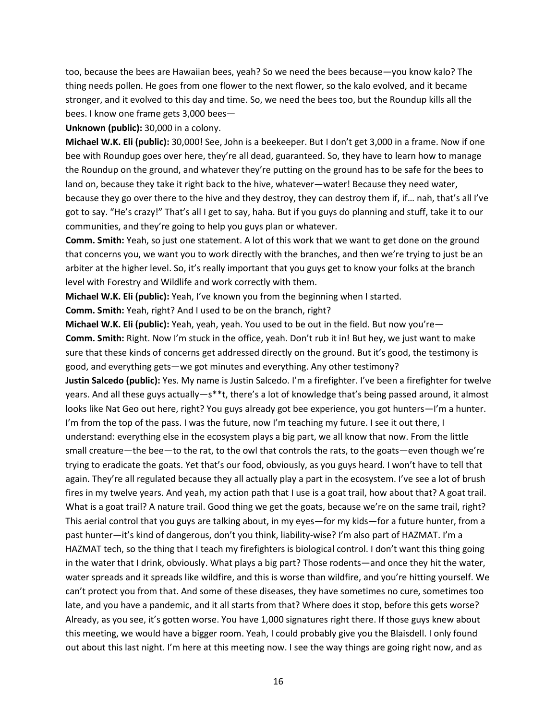too, because the bees are Hawaiian bees, yeah? So we need the bees because—you know kalo? The thing needs pollen. He goes from one flower to the next flower, so the kalo evolved, and it became stronger, and it evolved to this day and time. So, we need the bees too, but the Roundup kills all the bees. I know one frame gets 3,000 bees—

**Unknown (public):** 30,000 in a colony.

**Michael W.K. Eli (public):** 30,000! See, John is a beekeeper. But I don't get 3,000 in a frame. Now if one bee with Roundup goes over here, they're all dead, guaranteed. So, they have to learn how to manage the Roundup on the ground, and whatever they're putting on the ground has to be safe for the bees to land on, because they take it right back to the hive, whatever—water! Because they need water, because they go over there to the hive and they destroy, they can destroy them if, if… nah, that's all I've got to say. "He's crazy!" That's all I get to say, haha. But if you guys do planning and stuff, take it to our communities, and they're going to help you guys plan or whatever.

**Comm. Smith:** Yeah, so just one statement. A lot of this work that we want to get done on the ground that concerns you, we want you to work directly with the branches, and then we're trying to just be an arbiter at the higher level. So, it's really important that you guys get to know your folks at the branch level with Forestry and Wildlife and work correctly with them.

**Michael W.K. Eli (public):** Yeah, I've known you from the beginning when I started.

**Comm. Smith:** Yeah, right? And I used to be on the branch, right?

**Michael W.K. Eli (public):** Yeah, yeah, yeah. You used to be out in the field. But now you're— **Comm. Smith:** Right. Now I'm stuck in the office, yeah. Don't rub it in! But hey, we just want to make sure that these kinds of concerns get addressed directly on the ground. But it's good, the testimony is good, and everything gets—we got minutes and everything. Any other testimony?

**Justin Salcedo (public):** Yes. My name is Justin Salcedo. I'm a firefighter. I've been a firefighter for twelve years. And all these guys actually—s\*\*t, there's a lot of knowledge that's being passed around, it almost looks like Nat Geo out here, right? You guys already got bee experience, you got hunters—I'm a hunter. I'm from the top of the pass. I was the future, now I'm teaching my future. I see it out there, I understand: everything else in the ecosystem plays a big part, we all know that now. From the little small creature—the bee—to the rat, to the owl that controls the rats, to the goats—even though we're trying to eradicate the goats. Yet that's our food, obviously, as you guys heard. I won't have to tell that again. They're all regulated because they all actually play a part in the ecosystem. I've see a lot of brush fires in my twelve years. And yeah, my action path that I use is a goat trail, how about that? A goat trail. What is a goat trail? A nature trail. Good thing we get the goats, because we're on the same trail, right? This aerial control that you guys are talking about, in my eyes—for my kids—for a future hunter, from a past hunter—it's kind of dangerous, don't you think, liability-wise? I'm also part of HAZMAT. I'm a HAZMAT tech, so the thing that I teach my firefighters is biological control. I don't want this thing going in the water that I drink, obviously. What plays a big part? Those rodents—and once they hit the water, water spreads and it spreads like wildfire, and this is worse than wildfire, and you're hitting yourself. We can't protect you from that. And some of these diseases, they have sometimes no cure, sometimes too late, and you have a pandemic, and it all starts from that? Where does it stop, before this gets worse? Already, as you see, it's gotten worse. You have 1,000 signatures right there. If those guys knew about this meeting, we would have a bigger room. Yeah, I could probably give you the Blaisdell. I only found out about this last night. I'm here at this meeting now. I see the way things are going right now, and as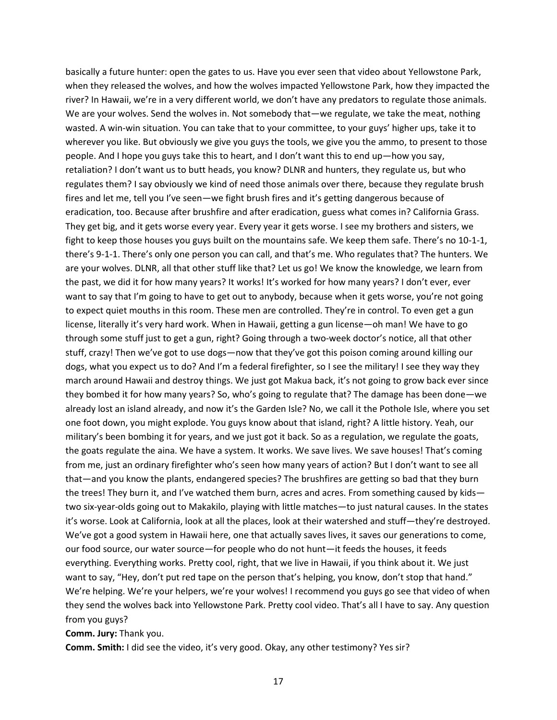basically a future hunter: open the gates to us. Have you ever seen that video about Yellowstone Park, when they released the wolves, and how the wolves impacted Yellowstone Park, how they impacted the river? In Hawaii, we're in a very different world, we don't have any predators to regulate those animals. We are your wolves. Send the wolves in. Not somebody that—we regulate, we take the meat, nothing wasted. A win-win situation. You can take that to your committee, to your guys' higher ups, take it to wherever you like. But obviously we give you guys the tools, we give you the ammo, to present to those people. And I hope you guys take this to heart, and I don't want this to end up—how you say, retaliation? I don't want us to butt heads, you know? DLNR and hunters, they regulate us, but who regulates them? I say obviously we kind of need those animals over there, because they regulate brush fires and let me, tell you I've seen—we fight brush fires and it's getting dangerous because of eradication, too. Because after brushfire and after eradication, guess what comes in? California Grass. They get big, and it gets worse every year. Every year it gets worse. I see my brothers and sisters, we fight to keep those houses you guys built on the mountains safe. We keep them safe. There's no 10-1-1, there's 9-1-1. There's only one person you can call, and that's me. Who regulates that? The hunters. We are your wolves. DLNR, all that other stuff like that? Let us go! We know the knowledge, we learn from the past, we did it for how many years? It works! It's worked for how many years? I don't ever, ever want to say that I'm going to have to get out to anybody, because when it gets worse, you're not going to expect quiet mouths in this room. These men are controlled. They're in control. To even get a gun license, literally it's very hard work. When in Hawaii, getting a gun license—oh man! We have to go through some stuff just to get a gun, right? Going through a two-week doctor's notice, all that other stuff, crazy! Then we've got to use dogs—now that they've got this poison coming around killing our dogs, what you expect us to do? And I'm a federal firefighter, so I see the military! I see they way they march around Hawaii and destroy things. We just got Makua back, it's not going to grow back ever since they bombed it for how many years? So, who's going to regulate that? The damage has been done—we already lost an island already, and now it's the Garden Isle? No, we call it the Pothole Isle, where you set one foot down, you might explode. You guys know about that island, right? A little history. Yeah, our military's been bombing it for years, and we just got it back. So as a regulation, we regulate the goats, the goats regulate the aina. We have a system. It works. We save lives. We save houses! That's coming from me, just an ordinary firefighter who's seen how many years of action? But I don't want to see all that—and you know the plants, endangered species? The brushfires are getting so bad that they burn the trees! They burn it, and I've watched them burn, acres and acres. From something caused by kids two six-year-olds going out to Makakilo, playing with little matches—to just natural causes. In the states it's worse. Look at California, look at all the places, look at their watershed and stuff—they're destroyed. We've got a good system in Hawaii here, one that actually saves lives, it saves our generations to come, our food source, our water source—for people who do not hunt—it feeds the houses, it feeds everything. Everything works. Pretty cool, right, that we live in Hawaii, if you think about it. We just want to say, "Hey, don't put red tape on the person that's helping, you know, don't stop that hand." We're helping. We're your helpers, we're your wolves! I recommend you guys go see that video of when they send the wolves back into Yellowstone Park. Pretty cool video. That's all I have to say. Any question from you guys?

**Comm. Jury:** Thank you.

**Comm. Smith:** I did see the video, it's very good. Okay, any other testimony? Yes sir?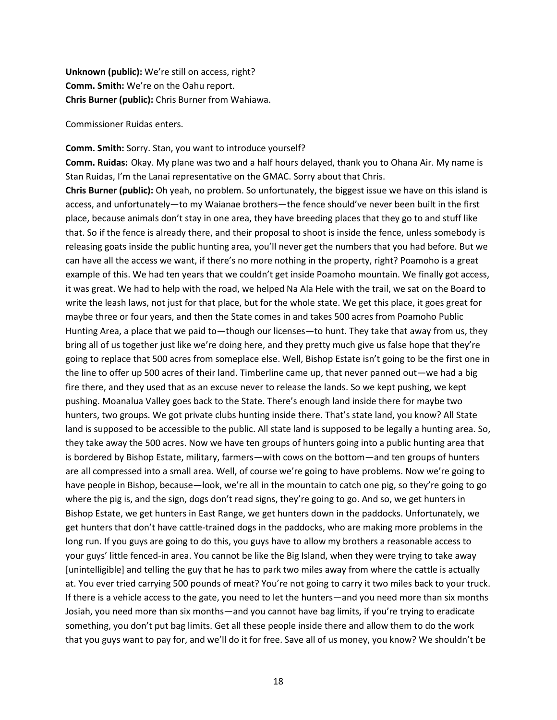**Unknown (public):** We're still on access, right? **Comm. Smith:** We're on the Oahu report. **Chris Burner (public):** Chris Burner from Wahiawa.

Commissioner Ruidas enters.

#### **Comm. Smith:** Sorry. Stan, you want to introduce yourself?

**Comm. Ruidas:** Okay. My plane was two and a half hours delayed, thank you to Ohana Air. My name is Stan Ruidas, I'm the Lanai representative on the GMAC. Sorry about that Chris.

**Chris Burner (public):** Oh yeah, no problem. So unfortunately, the biggest issue we have on this island is access, and unfortunately—to my Waianae brothers—the fence should've never been built in the first place, because animals don't stay in one area, they have breeding places that they go to and stuff like that. So if the fence is already there, and their proposal to shoot is inside the fence, unless somebody is releasing goats inside the public hunting area, you'll never get the numbers that you had before. But we can have all the access we want, if there's no more nothing in the property, right? Poamoho is a great example of this. We had ten years that we couldn't get inside Poamoho mountain. We finally got access, it was great. We had to help with the road, we helped Na Ala Hele with the trail, we sat on the Board to write the leash laws, not just for that place, but for the whole state. We get this place, it goes great for maybe three or four years, and then the State comes in and takes 500 acres from Poamoho Public Hunting Area, a place that we paid to—though our licenses—to hunt. They take that away from us, they bring all of us together just like we're doing here, and they pretty much give us false hope that they're going to replace that 500 acres from someplace else. Well, Bishop Estate isn't going to be the first one in the line to offer up 500 acres of their land. Timberline came up, that never panned out—we had a big fire there, and they used that as an excuse never to release the lands. So we kept pushing, we kept pushing. Moanalua Valley goes back to the State. There's enough land inside there for maybe two hunters, two groups. We got private clubs hunting inside there. That's state land, you know? All State land is supposed to be accessible to the public. All state land is supposed to be legally a hunting area. So, they take away the 500 acres. Now we have ten groups of hunters going into a public hunting area that is bordered by Bishop Estate, military, farmers—with cows on the bottom—and ten groups of hunters are all compressed into a small area. Well, of course we're going to have problems. Now we're going to have people in Bishop, because—look, we're all in the mountain to catch one pig, so they're going to go where the pig is, and the sign, dogs don't read signs, they're going to go. And so, we get hunters in Bishop Estate, we get hunters in East Range, we get hunters down in the paddocks. Unfortunately, we get hunters that don't have cattle-trained dogs in the paddocks, who are making more problems in the long run. If you guys are going to do this, you guys have to allow my brothers a reasonable access to your guys' little fenced-in area. You cannot be like the Big Island, when they were trying to take away [unintelligible] and telling the guy that he has to park two miles away from where the cattle is actually at. You ever tried carrying 500 pounds of meat? You're not going to carry it two miles back to your truck. If there is a vehicle access to the gate, you need to let the hunters—and you need more than six months Josiah, you need more than six months—and you cannot have bag limits, if you're trying to eradicate something, you don't put bag limits. Get all these people inside there and allow them to do the work that you guys want to pay for, and we'll do it for free. Save all of us money, you know? We shouldn't be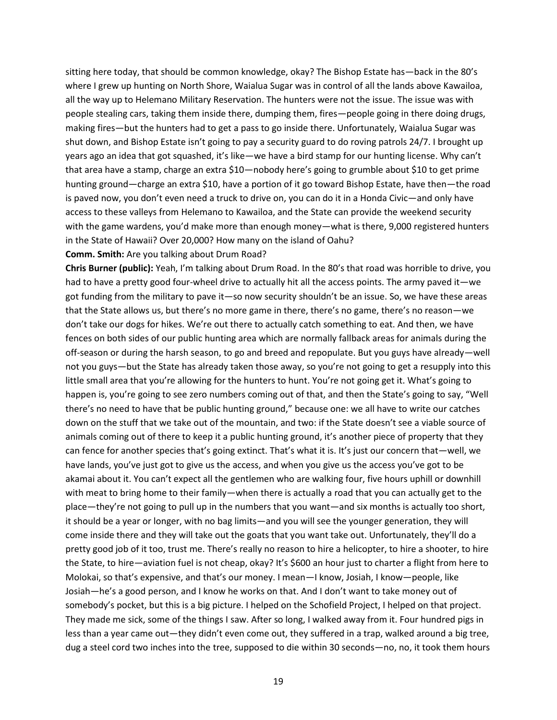sitting here today, that should be common knowledge, okay? The Bishop Estate has—back in the 80's where I grew up hunting on North Shore, Waialua Sugar was in control of all the lands above Kawailoa, all the way up to Helemano Military Reservation. The hunters were not the issue. The issue was with people stealing cars, taking them inside there, dumping them, fires—people going in there doing drugs, making fires—but the hunters had to get a pass to go inside there. Unfortunately, Waialua Sugar was shut down, and Bishop Estate isn't going to pay a security guard to do roving patrols 24/7. I brought up years ago an idea that got squashed, it's like—we have a bird stamp for our hunting license. Why can't that area have a stamp, charge an extra \$10—nobody here's going to grumble about \$10 to get prime hunting ground—charge an extra \$10, have a portion of it go toward Bishop Estate, have then—the road is paved now, you don't even need a truck to drive on, you can do it in a Honda Civic—and only have access to these valleys from Helemano to Kawailoa, and the State can provide the weekend security with the game wardens, you'd make more than enough money—what is there, 9,000 registered hunters in the State of Hawaii? Over 20,000? How many on the island of Oahu?

#### **Comm. Smith:** Are you talking about Drum Road?

**Chris Burner (public):** Yeah, I'm talking about Drum Road. In the 80's that road was horrible to drive, you had to have a pretty good four-wheel drive to actually hit all the access points. The army paved it—we got funding from the military to pave it—so now security shouldn't be an issue. So, we have these areas that the State allows us, but there's no more game in there, there's no game, there's no reason—we don't take our dogs for hikes. We're out there to actually catch something to eat. And then, we have fences on both sides of our public hunting area which are normally fallback areas for animals during the off-season or during the harsh season, to go and breed and repopulate. But you guys have already—well not you guys—but the State has already taken those away, so you're not going to get a resupply into this little small area that you're allowing for the hunters to hunt. You're not going get it. What's going to happen is, you're going to see zero numbers coming out of that, and then the State's going to say, "Well there's no need to have that be public hunting ground," because one: we all have to write our catches down on the stuff that we take out of the mountain, and two: if the State doesn't see a viable source of animals coming out of there to keep it a public hunting ground, it's another piece of property that they can fence for another species that's going extinct. That's what it is. It's just our concern that—well, we have lands, you've just got to give us the access, and when you give us the access you've got to be akamai about it. You can't expect all the gentlemen who are walking four, five hours uphill or downhill with meat to bring home to their family—when there is actually a road that you can actually get to the place—they're not going to pull up in the numbers that you want—and six months is actually too short, it should be a year or longer, with no bag limits—and you will see the younger generation, they will come inside there and they will take out the goats that you want take out. Unfortunately, they'll do a pretty good job of it too, trust me. There's really no reason to hire a helicopter, to hire a shooter, to hire the State, to hire—aviation fuel is not cheap, okay? It's \$600 an hour just to charter a flight from here to Molokai, so that's expensive, and that's our money. I mean—I know, Josiah, I know—people, like Josiah—he's a good person, and I know he works on that. And I don't want to take money out of somebody's pocket, but this is a big picture. I helped on the Schofield Project, I helped on that project. They made me sick, some of the things I saw. After so long, I walked away from it. Four hundred pigs in less than a year came out—they didn't even come out, they suffered in a trap, walked around a big tree, dug a steel cord two inches into the tree, supposed to die within 30 seconds—no, no, it took them hours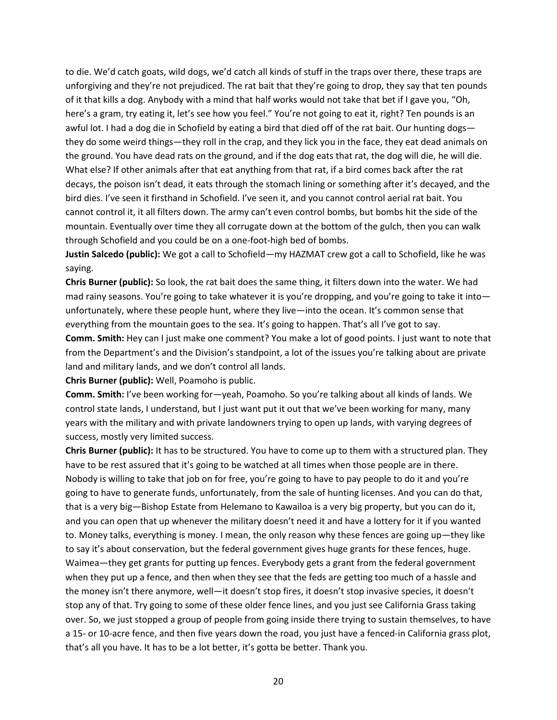to die. We'd catch goats, wild dogs, we'd catch all kinds of stuff in the traps over there, these traps are unforgiving and they're not prejudiced. The rat bait that they're going to drop, they say that ten pounds of it that kills a dog. Anybody with a mind that half works would not take that bet if I gave you, "Oh, here's a gram, try eating it, let's see how you feel." You're not going to eat it, right? Ten pounds is an awful lot. I had a dog die in Schofield by eating a bird that died off of the rat bait. Our hunting dogs they do some weird things—they roll in the crap, and they lick you in the face, they eat dead animals on the ground. You have dead rats on the ground, and if the dog eats that rat, the dog will die, he will die. What else? If other animals after that eat anything from that rat, if a bird comes back after the rat decays, the poison isn't dead, it eats through the stomach lining or something after it's decayed, and the bird dies. I've seen it firsthand in Schofield. I've seen it, and you cannot control aerial rat bait. You cannot control it, it all filters down. The army can't even control bombs, but bombs hit the side of the mountain. Eventually over time they all corrugate down at the bottom of the gulch, then you can walk through Schofield and you could be on a one-foot-high bed of bombs.

**Justin Salcedo (public):** We got a call to Schofield—my HAZMAT crew got a call to Schofield, like he was saying.

**Chris Burner (public):** So look, the rat bait does the same thing, it filters down into the water. We had mad rainy seasons. You're going to take whatever it is you're dropping, and you're going to take it into unfortunately, where these people hunt, where they live—into the ocean. It's common sense that everything from the mountain goes to the sea. It's going to happen. That's all I've got to say.

**Comm. Smith:** Hey can I just make one comment? You make a lot of good points. I just want to note that from the Department's and the Division's standpoint, a lot of the issues you're talking about are private land and military lands, and we don't control all lands.

**Chris Burner (public):** Well, Poamoho is public.

**Comm. Smith:** I've been working for—yeah, Poamoho. So you're talking about all kinds of lands. We control state lands, I understand, but I just want put it out that we've been working for many, many years with the military and with private landowners trying to open up lands, with varying degrees of success, mostly very limited success.

**Chris Burner (public):** It has to be structured. You have to come up to them with a structured plan. They have to be rest assured that it's going to be watched at all times when those people are in there. Nobody is willing to take that job on for free, you're going to have to pay people to do it and you're going to have to generate funds, unfortunately, from the sale of hunting licenses. And you can do that, that is a very big—Bishop Estate from Helemano to Kawailoa is a very big property, but you can do it, and you can open that up whenever the military doesn't need it and have a lottery for it if you wanted to. Money talks, everything is money. I mean, the only reason why these fences are going up—they like to say it's about conservation, but the federal government gives huge grants for these fences, huge. Waimea—they get grants for putting up fences. Everybody gets a grant from the federal government when they put up a fence, and then when they see that the feds are getting too much of a hassle and the money isn't there anymore, well—it doesn't stop fires, it doesn't stop invasive species, it doesn't stop any of that. Try going to some of these older fence lines, and you just see California Grass taking over. So, we just stopped a group of people from going inside there trying to sustain themselves, to have a 15- or 10-acre fence, and then five years down the road, you just have a fenced-in California grass plot, that's all you have. It has to be a lot better, it's gotta be better. Thank you.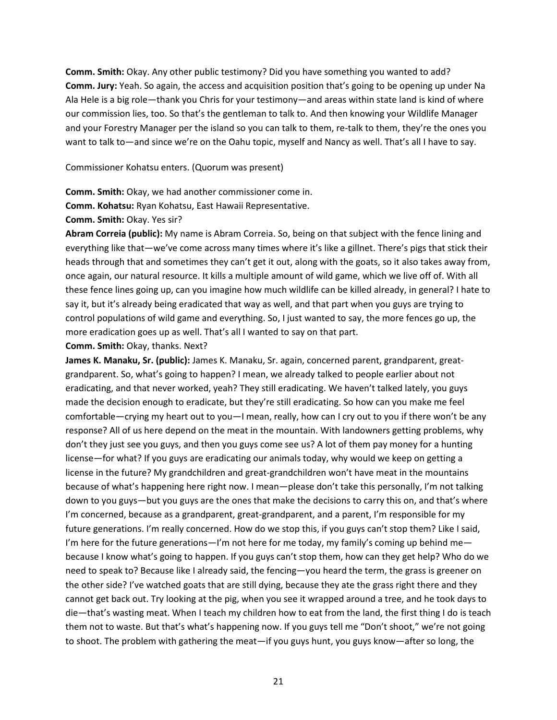**Comm. Smith:** Okay. Any other public testimony? Did you have something you wanted to add? **Comm. Jury:** Yeah. So again, the access and acquisition position that's going to be opening up under Na Ala Hele is a big role—thank you Chris for your testimony—and areas within state land is kind of where our commission lies, too. So that's the gentleman to talk to. And then knowing your Wildlife Manager and your Forestry Manager per the island so you can talk to them, re-talk to them, they're the ones you want to talk to—and since we're on the Oahu topic, myself and Nancy as well. That's all I have to say.

Commissioner Kohatsu enters. (Quorum was present)

**Comm. Smith:** Okay, we had another commissioner come in.

**Comm. Kohatsu:** Ryan Kohatsu, East Hawaii Representative.

**Comm. Smith:** Okay. Yes sir?

**Abram Correia (public):** My name is Abram Correia. So, being on that subject with the fence lining and everything like that—we've come across many times where it's like a gillnet. There's pigs that stick their heads through that and sometimes they can't get it out, along with the goats, so it also takes away from, once again, our natural resource. It kills a multiple amount of wild game, which we live off of. With all these fence lines going up, can you imagine how much wildlife can be killed already, in general? I hate to say it, but it's already being eradicated that way as well, and that part when you guys are trying to control populations of wild game and everything. So, I just wanted to say, the more fences go up, the more eradication goes up as well. That's all I wanted to say on that part.

**Comm. Smith:** Okay, thanks. Next?

**James K. Manaku, Sr. (public):** James K. Manaku, Sr. again, concerned parent, grandparent, greatgrandparent. So, what's going to happen? I mean, we already talked to people earlier about not eradicating, and that never worked, yeah? They still eradicating. We haven't talked lately, you guys made the decision enough to eradicate, but they're still eradicating. So how can you make me feel comfortable—crying my heart out to you—I mean, really, how can I cry out to you if there won't be any response? All of us here depend on the meat in the mountain. With landowners getting problems, why don't they just see you guys, and then you guys come see us? A lot of them pay money for a hunting license—for what? If you guys are eradicating our animals today, why would we keep on getting a license in the future? My grandchildren and great-grandchildren won't have meat in the mountains because of what's happening here right now. I mean—please don't take this personally, I'm not talking down to you guys—but you guys are the ones that make the decisions to carry this on, and that's where I'm concerned, because as a grandparent, great-grandparent, and a parent, I'm responsible for my future generations. I'm really concerned. How do we stop this, if you guys can't stop them? Like I said, I'm here for the future generations—I'm not here for me today, my family's coming up behind me because I know what's going to happen. If you guys can't stop them, how can they get help? Who do we need to speak to? Because like I already said, the fencing—you heard the term, the grass is greener on the other side? I've watched goats that are still dying, because they ate the grass right there and they cannot get back out. Try looking at the pig, when you see it wrapped around a tree, and he took days to die—that's wasting meat. When I teach my children how to eat from the land, the first thing I do is teach them not to waste. But that's what's happening now. If you guys tell me "Don't shoot," we're not going to shoot. The problem with gathering the meat—if you guys hunt, you guys know—after so long, the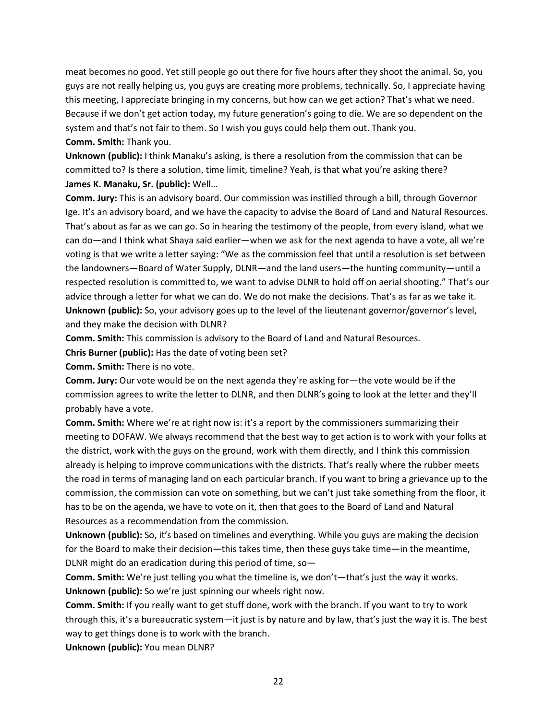meat becomes no good. Yet still people go out there for five hours after they shoot the animal. So, you guys are not really helping us, you guys are creating more problems, technically. So, I appreciate having this meeting, I appreciate bringing in my concerns, but how can we get action? That's what we need. Because if we don't get action today, my future generation's going to die. We are so dependent on the system and that's not fair to them. So I wish you guys could help them out. Thank you. **Comm. Smith:** Thank you.

**Unknown (public):** I think Manaku's asking, is there a resolution from the commission that can be committed to? Is there a solution, time limit, timeline? Yeah, is that what you're asking there?

**James K. Manaku, Sr. (public):** Well…

**Comm. Jury:** This is an advisory board. Our commission was instilled through a bill, through Governor Ige. It's an advisory board, and we have the capacity to advise the Board of Land and Natural Resources. That's about as far as we can go. So in hearing the testimony of the people, from every island, what we can do—and I think what Shaya said earlier—when we ask for the next agenda to have a vote, all we're voting is that we write a letter saying: "We as the commission feel that until a resolution is set between the landowners—Board of Water Supply, DLNR—and the land users—the hunting community—until a respected resolution is committed to, we want to advise DLNR to hold off on aerial shooting." That's our advice through a letter for what we can do. We do not make the decisions. That's as far as we take it. **Unknown (public):** So, your advisory goes up to the level of the lieutenant governor/governor's level, and they make the decision with DLNR?

**Comm. Smith:** This commission is advisory to the Board of Land and Natural Resources.

**Chris Burner (public):** Has the date of voting been set?

**Comm. Smith:** There is no vote.

**Comm. Jury:** Our vote would be on the next agenda they're asking for—the vote would be if the commission agrees to write the letter to DLNR, and then DLNR's going to look at the letter and they'll probably have a vote.

**Comm. Smith:** Where we're at right now is: it's a report by the commissioners summarizing their meeting to DOFAW. We always recommend that the best way to get action is to work with your folks at the district, work with the guys on the ground, work with them directly, and I think this commission already is helping to improve communications with the districts. That's really where the rubber meets the road in terms of managing land on each particular branch. If you want to bring a grievance up to the commission, the commission can vote on something, but we can't just take something from the floor, it has to be on the agenda, we have to vote on it, then that goes to the Board of Land and Natural Resources as a recommendation from the commission.

**Unknown (public):** So, it's based on timelines and everything. While you guys are making the decision for the Board to make their decision—this takes time, then these guys take time—in the meantime, DLNR might do an eradication during this period of time, so—

**Comm. Smith:** We're just telling you what the timeline is, we don't—that's just the way it works. **Unknown (public):** So we're just spinning our wheels right now.

**Comm. Smith:** If you really want to get stuff done, work with the branch. If you want to try to work through this, it's a bureaucratic system—it just is by nature and by law, that's just the way it is. The best way to get things done is to work with the branch.

**Unknown (public):** You mean DLNR?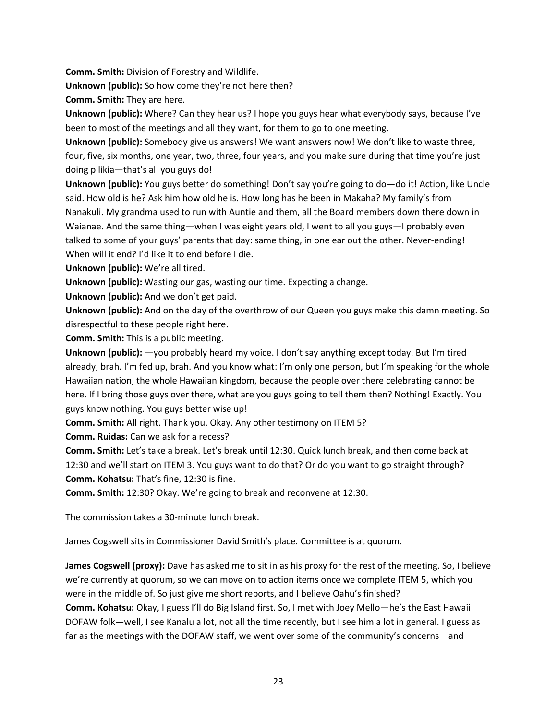**Comm. Smith:** Division of Forestry and Wildlife.

**Unknown (public):** So how come they're not here then?

**Comm. Smith:** They are here.

**Unknown (public):** Where? Can they hear us? I hope you guys hear what everybody says, because I've been to most of the meetings and all they want, for them to go to one meeting.

**Unknown (public):** Somebody give us answers! We want answers now! We don't like to waste three, four, five, six months, one year, two, three, four years, and you make sure during that time you're just doing pilikia—that's all you guys do!

**Unknown (public):** You guys better do something! Don't say you're going to do—do it! Action, like Uncle said. How old is he? Ask him how old he is. How long has he been in Makaha? My family's from Nanakuli. My grandma used to run with Auntie and them, all the Board members down there down in Waianae. And the same thing—when I was eight years old, I went to all you guys—I probably even talked to some of your guys' parents that day: same thing, in one ear out the other. Never-ending! When will it end? I'd like it to end before I die.

**Unknown (public):** We're all tired.

**Unknown (public):** Wasting our gas, wasting our time. Expecting a change.

**Unknown (public):** And we don't get paid.

**Unknown (public):** And on the day of the overthrow of our Queen you guys make this damn meeting. So disrespectful to these people right here.

**Comm. Smith:** This is a public meeting.

**Unknown (public):** —you probably heard my voice. I don't say anything except today. But I'm tired already, brah. I'm fed up, brah. And you know what: I'm only one person, but I'm speaking for the whole Hawaiian nation, the whole Hawaiian kingdom, because the people over there celebrating cannot be here. If I bring those guys over there, what are you guys going to tell them then? Nothing! Exactly. You guys know nothing. You guys better wise up!

**Comm. Smith:** All right. Thank you. Okay. Any other testimony on ITEM 5?

**Comm. Ruidas:** Can we ask for a recess?

**Comm. Smith:** Let's take a break. Let's break until 12:30. Quick lunch break, and then come back at 12:30 and we'll start on ITEM 3. You guys want to do that? Or do you want to go straight through? **Comm. Kohatsu:** That's fine, 12:30 is fine.

**Comm. Smith:** 12:30? Okay. We're going to break and reconvene at 12:30.

The commission takes a 30-minute lunch break.

James Cogswell sits in Commissioner David Smith's place. Committee is at quorum.

**James Cogswell (proxy):** Dave has asked me to sit in as his proxy for the rest of the meeting. So, I believe we're currently at quorum, so we can move on to action items once we complete ITEM 5, which you were in the middle of. So just give me short reports, and I believe Oahu's finished? **Comm. Kohatsu:** Okay, I guess I'll do Big Island first. So, I met with Joey Mello—he's the East Hawaii DOFAW folk—well, I see Kanalu a lot, not all the time recently, but I see him a lot in general. I guess as far as the meetings with the DOFAW staff, we went over some of the community's concerns—and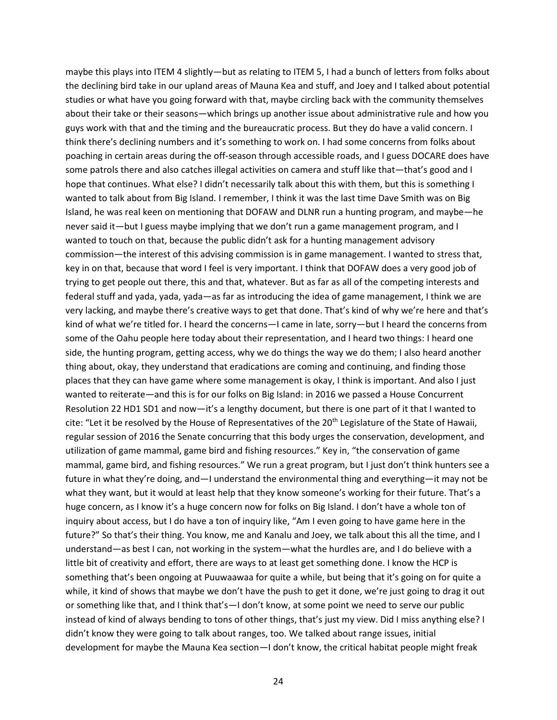maybe this plays into ITEM 4 slightly—but as relating to ITEM 5, I had a bunch of letters from folks about the declining bird take in our upland areas of Mauna Kea and stuff, and Joey and I talked about potential studies or what have you going forward with that, maybe circling back with the community themselves about their take or their seasons—which brings up another issue about administrative rule and how you guys work with that and the timing and the bureaucratic process. But they do have a valid concern. I think there's declining numbers and it's something to work on. I had some concerns from folks about poaching in certain areas during the off-season through accessible roads, and I guess DOCARE does have some patrols there and also catches illegal activities on camera and stuff like that—that's good and I hope that continues. What else? I didn't necessarily talk about this with them, but this is something I wanted to talk about from Big Island. I remember, I think it was the last time Dave Smith was on Big Island, he was real keen on mentioning that DOFAW and DLNR run a hunting program, and maybe—he never said it—but I guess maybe implying that we don't run a game management program, and I wanted to touch on that, because the public didn't ask for a hunting management advisory commission—the interest of this advising commission is in game management. I wanted to stress that, key in on that, because that word I feel is very important. I think that DOFAW does a very good job of trying to get people out there, this and that, whatever. But as far as all of the competing interests and federal stuff and yada, yada, yada—as far as introducing the idea of game management, I think we are very lacking, and maybe there's creative ways to get that done. That's kind of why we're here and that's kind of what we're titled for. I heard the concerns—I came in late, sorry—but I heard the concerns from some of the Oahu people here today about their representation, and I heard two things: I heard one side, the hunting program, getting access, why we do things the way we do them; I also heard another thing about, okay, they understand that eradications are coming and continuing, and finding those places that they can have game where some management is okay, I think is important. And also I just wanted to reiterate—and this is for our folks on Big Island: in 2016 we passed a House Concurrent Resolution 22 HD1 SD1 and now—it's a lengthy document, but there is one part of it that I wanted to cite: "Let it be resolved by the House of Representatives of the  $20<sup>th</sup>$  Legislature of the State of Hawaii, regular session of 2016 the Senate concurring that this body urges the conservation, development, and utilization of game mammal, game bird and fishing resources." Key in, "the conservation of game mammal, game bird, and fishing resources." We run a great program, but I just don't think hunters see a future in what they're doing, and—I understand the environmental thing and everything—it may not be what they want, but it would at least help that they know someone's working for their future. That's a huge concern, as I know it's a huge concern now for folks on Big Island. I don't have a whole ton of inquiry about access, but I do have a ton of inquiry like, "Am I even going to have game here in the future?" So that's their thing. You know, me and Kanalu and Joey, we talk about this all the time, and I understand—as best I can, not working in the system—what the hurdles are, and I do believe with a little bit of creativity and effort, there are ways to at least get something done. I know the HCP is something that's been ongoing at Puuwaawaa for quite a while, but being that it's going on for quite a while, it kind of shows that maybe we don't have the push to get it done, we're just going to drag it out or something like that, and I think that's—I don't know, at some point we need to serve our public instead of kind of always bending to tons of other things, that's just my view. Did I miss anything else? I didn't know they were going to talk about ranges, too. We talked about range issues, initial development for maybe the Mauna Kea section—I don't know, the critical habitat people might freak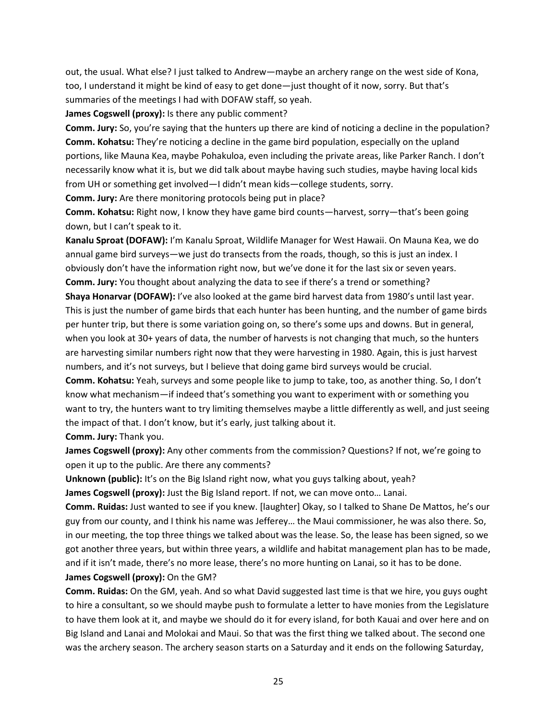out, the usual. What else? I just talked to Andrew—maybe an archery range on the west side of Kona, too, I understand it might be kind of easy to get done—just thought of it now, sorry. But that's summaries of the meetings I had with DOFAW staff, so yeah.

**James Cogswell (proxy):** Is there any public comment?

**Comm. Jury:** So, you're saying that the hunters up there are kind of noticing a decline in the population? **Comm. Kohatsu:** They're noticing a decline in the game bird population, especially on the upland portions, like Mauna Kea, maybe Pohakuloa, even including the private areas, like Parker Ranch. I don't necessarily know what it is, but we did talk about maybe having such studies, maybe having local kids from UH or something get involved—I didn't mean kids—college students, sorry.

**Comm. Jury:** Are there monitoring protocols being put in place?

**Comm. Kohatsu:** Right now, I know they have game bird counts—harvest, sorry—that's been going down, but I can't speak to it.

**Kanalu Sproat (DOFAW):** I'm Kanalu Sproat, Wildlife Manager for West Hawaii. On Mauna Kea, we do annual game bird surveys—we just do transects from the roads, though, so this is just an index. I obviously don't have the information right now, but we've done it for the last six or seven years. **Comm. Jury:** You thought about analyzing the data to see if there's a trend or something?

**Shaya Honarvar (DOFAW):** I've also looked at the game bird harvest data from 1980's until last year. This is just the number of game birds that each hunter has been hunting, and the number of game birds per hunter trip, but there is some variation going on, so there's some ups and downs. But in general, when you look at 30+ years of data, the number of harvests is not changing that much, so the hunters are harvesting similar numbers right now that they were harvesting in 1980. Again, this is just harvest numbers, and it's not surveys, but I believe that doing game bird surveys would be crucial.

**Comm. Kohatsu:** Yeah, surveys and some people like to jump to take, too, as another thing. So, I don't know what mechanism—if indeed that's something you want to experiment with or something you want to try, the hunters want to try limiting themselves maybe a little differently as well, and just seeing the impact of that. I don't know, but it's early, just talking about it.

**Comm. Jury:** Thank you.

**James Cogswell (proxy):** Any other comments from the commission? Questions? If not, we're going to open it up to the public. Are there any comments?

**Unknown (public):** It's on the Big Island right now, what you guys talking about, yeah?

**James Cogswell (proxy):** Just the Big Island report. If not, we can move onto… Lanai.

**Comm. Ruidas:** Just wanted to see if you knew. [laughter] Okay, so I talked to Shane De Mattos, he's our guy from our county, and I think his name was Jefferey… the Maui commissioner, he was also there. So, in our meeting, the top three things we talked about was the lease. So, the lease has been signed, so we got another three years, but within three years, a wildlife and habitat management plan has to be made, and if it isn't made, there's no more lease, there's no more hunting on Lanai, so it has to be done. **James Cogswell (proxy):** On the GM?

**Comm. Ruidas:** On the GM, yeah. And so what David suggested last time is that we hire, you guys ought to hire a consultant, so we should maybe push to formulate a letter to have monies from the Legislature to have them look at it, and maybe we should do it for every island, for both Kauai and over here and on Big Island and Lanai and Molokai and Maui. So that was the first thing we talked about. The second one was the archery season. The archery season starts on a Saturday and it ends on the following Saturday,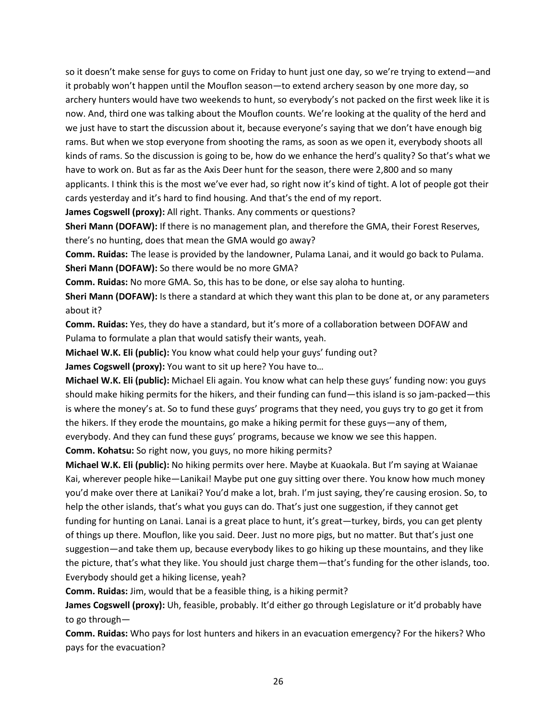so it doesn't make sense for guys to come on Friday to hunt just one day, so we're trying to extend—and it probably won't happen until the Mouflon season—to extend archery season by one more day, so archery hunters would have two weekends to hunt, so everybody's not packed on the first week like it is now. And, third one was talking about the Mouflon counts. We're looking at the quality of the herd and we just have to start the discussion about it, because everyone's saying that we don't have enough big rams. But when we stop everyone from shooting the rams, as soon as we open it, everybody shoots all kinds of rams. So the discussion is going to be, how do we enhance the herd's quality? So that's what we have to work on. But as far as the Axis Deer hunt for the season, there were 2,800 and so many applicants. I think this is the most we've ever had, so right now it's kind of tight. A lot of people got their cards yesterday and it's hard to find housing. And that's the end of my report.

**James Cogswell (proxy):** All right. Thanks. Any comments or questions?

**Sheri Mann (DOFAW):** If there is no management plan, and therefore the GMA, their Forest Reserves, there's no hunting, does that mean the GMA would go away?

**Comm. Ruidas:** The lease is provided by the landowner, Pulama Lanai, and it would go back to Pulama. **Sheri Mann (DOFAW):** So there would be no more GMA?

**Comm. Ruidas:** No more GMA. So, this has to be done, or else say aloha to hunting.

**Sheri Mann (DOFAW):** Is there a standard at which they want this plan to be done at, or any parameters about it?

**Comm. Ruidas:** Yes, they do have a standard, but it's more of a collaboration between DOFAW and Pulama to formulate a plan that would satisfy their wants, yeah.

**Michael W.K. Eli (public):** You know what could help your guys' funding out?

**James Cogswell (proxy):** You want to sit up here? You have to…

**Michael W.K. Eli (public):** Michael Eli again. You know what can help these guys' funding now: you guys should make hiking permits for the hikers, and their funding can fund—this island is so jam-packed—this is where the money's at. So to fund these guys' programs that they need, you guys try to go get it from the hikers. If they erode the mountains, go make a hiking permit for these guys—any of them, everybody. And they can fund these guys' programs, because we know we see this happen.

**Comm. Kohatsu:** So right now, you guys, no more hiking permits?

**Michael W.K. Eli (public):** No hiking permits over here. Maybe at Kuaokala. But I'm saying at Waianae Kai, wherever people hike—Lanikai! Maybe put one guy sitting over there. You know how much money you'd make over there at Lanikai? You'd make a lot, brah. I'm just saying, they're causing erosion. So, to help the other islands, that's what you guys can do. That's just one suggestion, if they cannot get funding for hunting on Lanai. Lanai is a great place to hunt, it's great—turkey, birds, you can get plenty of things up there. Mouflon, like you said. Deer. Just no more pigs, but no matter. But that's just one suggestion—and take them up, because everybody likes to go hiking up these mountains, and they like the picture, that's what they like. You should just charge them—that's funding for the other islands, too. Everybody should get a hiking license, yeah?

**Comm. Ruidas:** Jim, would that be a feasible thing, is a hiking permit?

**James Cogswell (proxy):** Uh, feasible, probably. It'd either go through Legislature or it'd probably have to go through—

**Comm. Ruidas:** Who pays for lost hunters and hikers in an evacuation emergency? For the hikers? Who pays for the evacuation?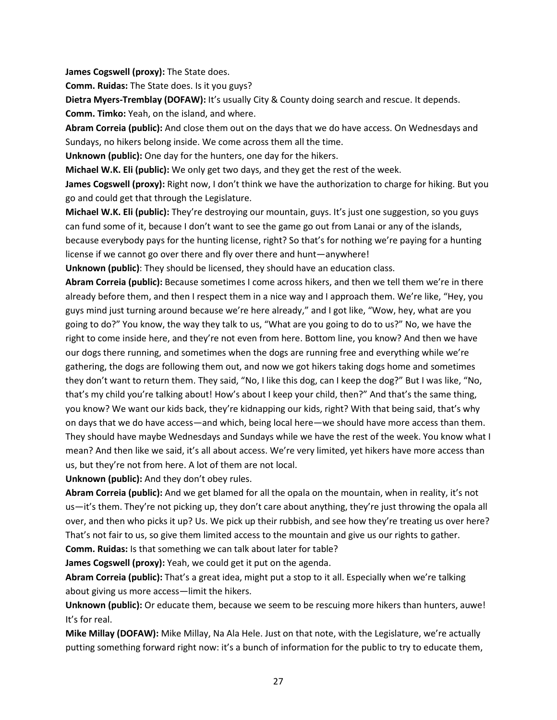**James Cogswell (proxy):** The State does.

**Comm. Ruidas:** The State does. Is it you guys?

**Dietra Myers-Tremblay (DOFAW):** It's usually City & County doing search and rescue. It depends. **Comm. Timko:** Yeah, on the island, and where.

**Abram Correia (public):** And close them out on the days that we do have access. On Wednesdays and Sundays, no hikers belong inside. We come across them all the time.

**Unknown (public):** One day for the hunters, one day for the hikers.

**Michael W.K. Eli (public):** We only get two days, and they get the rest of the week.

**James Cogswell (proxy):** Right now, I don't think we have the authorization to charge for hiking. But you go and could get that through the Legislature.

**Michael W.K. Eli (public):** They're destroying our mountain, guys. It's just one suggestion, so you guys can fund some of it, because I don't want to see the game go out from Lanai or any of the islands, because everybody pays for the hunting license, right? So that's for nothing we're paying for a hunting license if we cannot go over there and fly over there and hunt—anywhere!

**Unknown (public)**: They should be licensed, they should have an education class.

**Abram Correia (public):** Because sometimes I come across hikers, and then we tell them we're in there already before them, and then I respect them in a nice way and I approach them. We're like, "Hey, you guys mind just turning around because we're here already," and I got like, "Wow, hey, what are you going to do?" You know, the way they talk to us, "What are you going to do to us?" No, we have the right to come inside here, and they're not even from here. Bottom line, you know? And then we have our dogs there running, and sometimes when the dogs are running free and everything while we're gathering, the dogs are following them out, and now we got hikers taking dogs home and sometimes they don't want to return them. They said, "No, I like this dog, can I keep the dog?" But I was like, "No, that's my child you're talking about! How's about I keep your child, then?" And that's the same thing, you know? We want our kids back, they're kidnapping our kids, right? With that being said, that's why on days that we do have access—and which, being local here—we should have more access than them. They should have maybe Wednesdays and Sundays while we have the rest of the week. You know what I mean? And then like we said, it's all about access. We're very limited, yet hikers have more access than us, but they're not from here. A lot of them are not local.

**Unknown (public):** And they don't obey rules.

**Abram Correia (public):** And we get blamed for all the opala on the mountain, when in reality, it's not us—it's them. They're not picking up, they don't care about anything, they're just throwing the opala all over, and then who picks it up? Us. We pick up their rubbish, and see how they're treating us over here? That's not fair to us, so give them limited access to the mountain and give us our rights to gather.

**Comm. Ruidas:** Is that something we can talk about later for table?

**James Cogswell (proxy):** Yeah, we could get it put on the agenda.

**Abram Correia (public):** That's a great idea, might put a stop to it all. Especially when we're talking about giving us more access—limit the hikers.

**Unknown (public):** Or educate them, because we seem to be rescuing more hikers than hunters, auwe! It's for real.

**Mike Millay (DOFAW):** Mike Millay, Na Ala Hele. Just on that note, with the Legislature, we're actually putting something forward right now: it's a bunch of information for the public to try to educate them,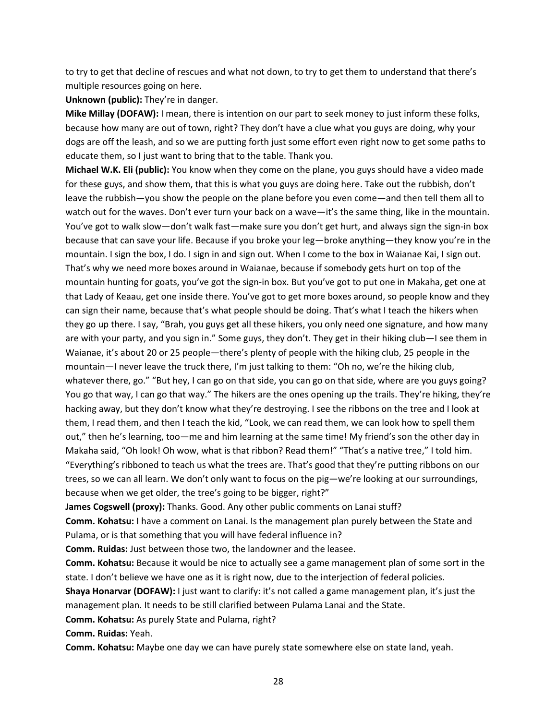to try to get that decline of rescues and what not down, to try to get them to understand that there's multiple resources going on here.

**Unknown (public):** They're in danger.

**Mike Millay (DOFAW):** I mean, there is intention on our part to seek money to just inform these folks, because how many are out of town, right? They don't have a clue what you guys are doing, why your dogs are off the leash, and so we are putting forth just some effort even right now to get some paths to educate them, so I just want to bring that to the table. Thank you.

**Michael W.K. Eli (public):** You know when they come on the plane, you guys should have a video made for these guys, and show them, that this is what you guys are doing here. Take out the rubbish, don't leave the rubbish—you show the people on the plane before you even come—and then tell them all to watch out for the waves. Don't ever turn your back on a wave—it's the same thing, like in the mountain. You've got to walk slow—don't walk fast—make sure you don't get hurt, and always sign the sign-in box because that can save your life. Because if you broke your leg—broke anything—they know you're in the mountain. I sign the box, I do. I sign in and sign out. When I come to the box in Waianae Kai, I sign out. That's why we need more boxes around in Waianae, because if somebody gets hurt on top of the mountain hunting for goats, you've got the sign-in box. But you've got to put one in Makaha, get one at that Lady of Keaau, get one inside there. You've got to get more boxes around, so people know and they can sign their name, because that's what people should be doing. That's what I teach the hikers when they go up there. I say, "Brah, you guys get all these hikers, you only need one signature, and how many are with your party, and you sign in." Some guys, they don't. They get in their hiking club—I see them in Waianae, it's about 20 or 25 people—there's plenty of people with the hiking club, 25 people in the mountain—I never leave the truck there, I'm just talking to them: "Oh no, we're the hiking club, whatever there, go." "But hey, I can go on that side, you can go on that side, where are you guys going? You go that way, I can go that way." The hikers are the ones opening up the trails. They're hiking, they're hacking away, but they don't know what they're destroying. I see the ribbons on the tree and I look at them, I read them, and then I teach the kid, "Look, we can read them, we can look how to spell them out," then he's learning, too—me and him learning at the same time! My friend's son the other day in Makaha said, "Oh look! Oh wow, what is that ribbon? Read them!" "That's a native tree," I told him. "Everything's ribboned to teach us what the trees are. That's good that they're putting ribbons on our trees, so we can all learn. We don't only want to focus on the pig—we're looking at our surroundings, because when we get older, the tree's going to be bigger, right?"

**James Cogswell (proxy):** Thanks. Good. Any other public comments on Lanai stuff?

**Comm. Kohatsu:** I have a comment on Lanai. Is the management plan purely between the State and Pulama, or is that something that you will have federal influence in?

**Comm. Ruidas:** Just between those two, the landowner and the leasee.

**Comm. Kohatsu:** Because it would be nice to actually see a game management plan of some sort in the state. I don't believe we have one as it is right now, due to the interjection of federal policies.

**Shaya Honarvar (DOFAW):** I just want to clarify: it's not called a game management plan, it's just the management plan. It needs to be still clarified between Pulama Lanai and the State.

**Comm. Kohatsu:** As purely State and Pulama, right?

**Comm. Ruidas:** Yeah.

**Comm. Kohatsu:** Maybe one day we can have purely state somewhere else on state land, yeah.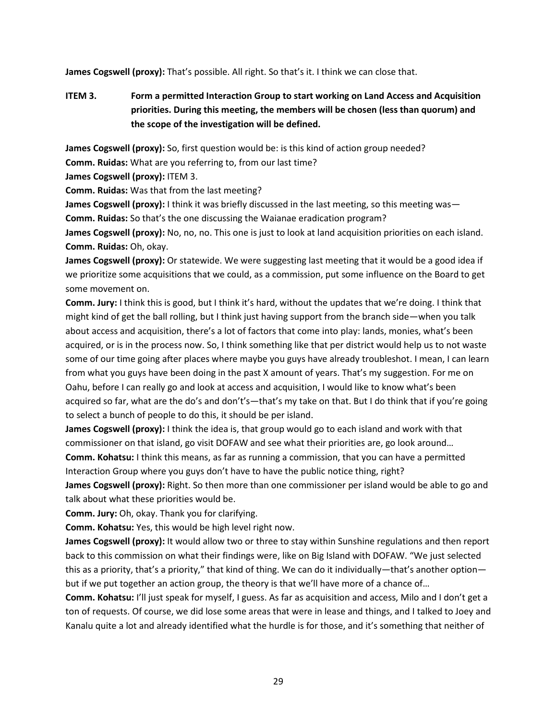**James Cogswell (proxy):** That's possible. All right. So that's it. I think we can close that.

# **ITEM 3. Form a permitted Interaction Group to start working on Land Access and Acquisition priorities. During this meeting, the members will be chosen (less than quorum) and the scope of the investigation will be defined.**

**James Cogswell (proxy):** So, first question would be: is this kind of action group needed?

**Comm. Ruidas:** What are you referring to, from our last time?

**James Cogswell (proxy):** ITEM 3.

**Comm. Ruidas:** Was that from the last meeting?

**James Cogswell (proxy):** I think it was briefly discussed in the last meeting, so this meeting was— **Comm. Ruidas:** So that's the one discussing the Waianae eradication program?

**James Cogswell (proxy):** No, no, no. This one is just to look at land acquisition priorities on each island. **Comm. Ruidas:** Oh, okay.

**James Cogswell (proxy):** Or statewide. We were suggesting last meeting that it would be a good idea if we prioritize some acquisitions that we could, as a commission, put some influence on the Board to get some movement on.

**Comm. Jury:** I think this is good, but I think it's hard, without the updates that we're doing. I think that might kind of get the ball rolling, but I think just having support from the branch side—when you talk about access and acquisition, there's a lot of factors that come into play: lands, monies, what's been acquired, or is in the process now. So, I think something like that per district would help us to not waste some of our time going after places where maybe you guys have already troubleshot. I mean, I can learn from what you guys have been doing in the past X amount of years. That's my suggestion. For me on Oahu, before I can really go and look at access and acquisition, I would like to know what's been acquired so far, what are the do's and don't's—that's my take on that. But I do think that if you're going to select a bunch of people to do this, it should be per island.

**James Cogswell (proxy):** I think the idea is, that group would go to each island and work with that commissioner on that island, go visit DOFAW and see what their priorities are, go look around… **Comm. Kohatsu:** I think this means, as far as running a commission, that you can have a permitted Interaction Group where you guys don't have to have the public notice thing, right?

**James Cogswell (proxy):** Right. So then more than one commissioner per island would be able to go and talk about what these priorities would be.

**Comm. Jury:** Oh, okay. Thank you for clarifying.

**Comm. Kohatsu:** Yes, this would be high level right now.

**James Cogswell (proxy):** It would allow two or three to stay within Sunshine regulations and then report back to this commission on what their findings were, like on Big Island with DOFAW. "We just selected this as a priority, that's a priority," that kind of thing. We can do it individually—that's another option but if we put together an action group, the theory is that we'll have more of a chance of…

**Comm. Kohatsu:** I'll just speak for myself, I guess. As far as acquisition and access, Milo and I don't get a ton of requests. Of course, we did lose some areas that were in lease and things, and I talked to Joey and Kanalu quite a lot and already identified what the hurdle is for those, and it's something that neither of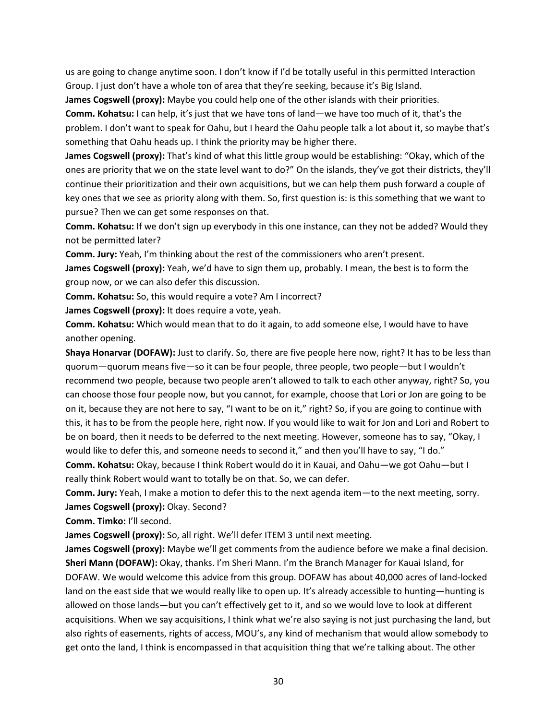us are going to change anytime soon. I don't know if I'd be totally useful in this permitted Interaction Group. I just don't have a whole ton of area that they're seeking, because it's Big Island.

**James Cogswell (proxy):** Maybe you could help one of the other islands with their priorities.

**Comm. Kohatsu:** I can help, it's just that we have tons of land—we have too much of it, that's the problem. I don't want to speak for Oahu, but I heard the Oahu people talk a lot about it, so maybe that's something that Oahu heads up. I think the priority may be higher there.

**James Cogswell (proxy):** That's kind of what this little group would be establishing: "Okay, which of the ones are priority that we on the state level want to do?" On the islands, they've got their districts, they'll continue their prioritization and their own acquisitions, but we can help them push forward a couple of key ones that we see as priority along with them. So, first question is: is this something that we want to pursue? Then we can get some responses on that.

**Comm. Kohatsu:** If we don't sign up everybody in this one instance, can they not be added? Would they not be permitted later?

**Comm. Jury:** Yeah, I'm thinking about the rest of the commissioners who aren't present.

**James Cogswell (proxy):** Yeah, we'd have to sign them up, probably. I mean, the best is to form the group now, or we can also defer this discussion.

**Comm. Kohatsu:** So, this would require a vote? Am I incorrect?

**James Cogswell (proxy):** It does require a vote, yeah.

**Comm. Kohatsu:** Which would mean that to do it again, to add someone else, I would have to have another opening.

**Shaya Honarvar (DOFAW):** Just to clarify. So, there are five people here now, right? It has to be less than quorum—quorum means five—so it can be four people, three people, two people—but I wouldn't recommend two people, because two people aren't allowed to talk to each other anyway, right? So, you can choose those four people now, but you cannot, for example, choose that Lori or Jon are going to be on it, because they are not here to say, "I want to be on it," right? So, if you are going to continue with this, it has to be from the people here, right now. If you would like to wait for Jon and Lori and Robert to be on board, then it needs to be deferred to the next meeting. However, someone has to say, "Okay, I would like to defer this, and someone needs to second it," and then you'll have to say, "I do." **Comm. Kohatsu:** Okay, because I think Robert would do it in Kauai, and Oahu—we got Oahu—but I really think Robert would want to totally be on that. So, we can defer.

**Comm. Jury:** Yeah, I make a motion to defer this to the next agenda item—to the next meeting, sorry. **James Cogswell (proxy):** Okay. Second?

**Comm. Timko:** I'll second.

**James Cogswell (proxy):** So, all right. We'll defer ITEM 3 until next meeting.

**James Cogswell (proxy):** Maybe we'll get comments from the audience before we make a final decision. **Sheri Mann (DOFAW):** Okay, thanks. I'm Sheri Mann. I'm the Branch Manager for Kauai Island, for DOFAW. We would welcome this advice from this group. DOFAW has about 40,000 acres of land-locked land on the east side that we would really like to open up. It's already accessible to hunting—hunting is allowed on those lands—but you can't effectively get to it, and so we would love to look at different acquisitions. When we say acquisitions, I think what we're also saying is not just purchasing the land, but also rights of easements, rights of access, MOU's, any kind of mechanism that would allow somebody to get onto the land, I think is encompassed in that acquisition thing that we're talking about. The other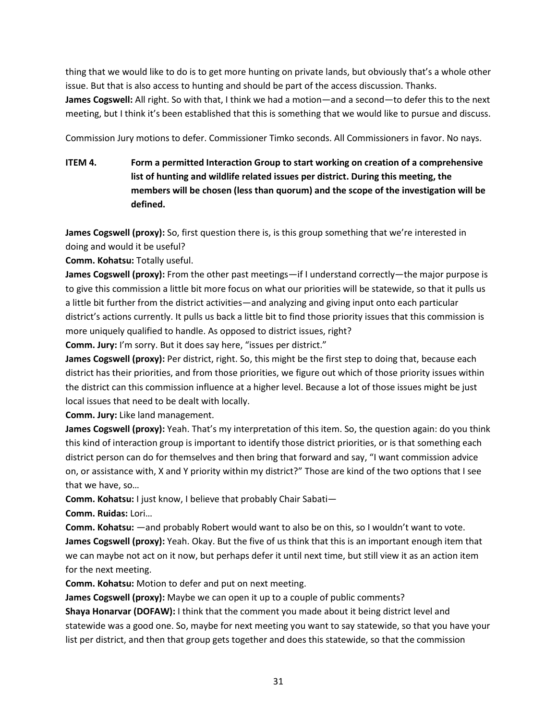thing that we would like to do is to get more hunting on private lands, but obviously that's a whole other issue. But that is also access to hunting and should be part of the access discussion. Thanks.

**James Cogswell:** All right. So with that, I think we had a motion—and a second—to defer this to the next meeting, but I think it's been established that this is something that we would like to pursue and discuss.

Commission Jury motions to defer. Commissioner Timko seconds. All Commissioners in favor. No nays.

**ITEM 4. Form a permitted Interaction Group to start working on creation of a comprehensive list of hunting and wildlife related issues per district. During this meeting, the members will be chosen (less than quorum) and the scope of the investigation will be defined.**

**James Cogswell (proxy):** So, first question there is, is this group something that we're interested in doing and would it be useful?

**Comm. Kohatsu:** Totally useful.

**James Cogswell (proxy):** From the other past meetings—if I understand correctly—the major purpose is to give this commission a little bit more focus on what our priorities will be statewide, so that it pulls us a little bit further from the district activities—and analyzing and giving input onto each particular district's actions currently. It pulls us back a little bit to find those priority issues that this commission is more uniquely qualified to handle. As opposed to district issues, right?

**Comm. Jury:** I'm sorry. But it does say here, "issues per district."

**James Cogswell (proxy):** Per district, right. So, this might be the first step to doing that, because each district has their priorities, and from those priorities, we figure out which of those priority issues within the district can this commission influence at a higher level. Because a lot of those issues might be just local issues that need to be dealt with locally.

**Comm. Jury:** Like land management.

**James Cogswell (proxy):** Yeah. That's my interpretation of this item. So, the question again: do you think this kind of interaction group is important to identify those district priorities, or is that something each district person can do for themselves and then bring that forward and say, "I want commission advice on, or assistance with, X and Y priority within my district?" Those are kind of the two options that I see that we have, so…

**Comm. Kohatsu:** I just know, I believe that probably Chair Sabati—

**Comm. Ruidas:** Lori…

**Comm. Kohatsu:** —and probably Robert would want to also be on this, so I wouldn't want to vote. **James Cogswell (proxy):** Yeah. Okay. But the five of us think that this is an important enough item that we can maybe not act on it now, but perhaps defer it until next time, but still view it as an action item for the next meeting.

**Comm. Kohatsu:** Motion to defer and put on next meeting.

**James Cogswell (proxy):** Maybe we can open it up to a couple of public comments?

**Shaya Honarvar (DOFAW):** I think that the comment you made about it being district level and statewide was a good one. So, maybe for next meeting you want to say statewide, so that you have your list per district, and then that group gets together and does this statewide, so that the commission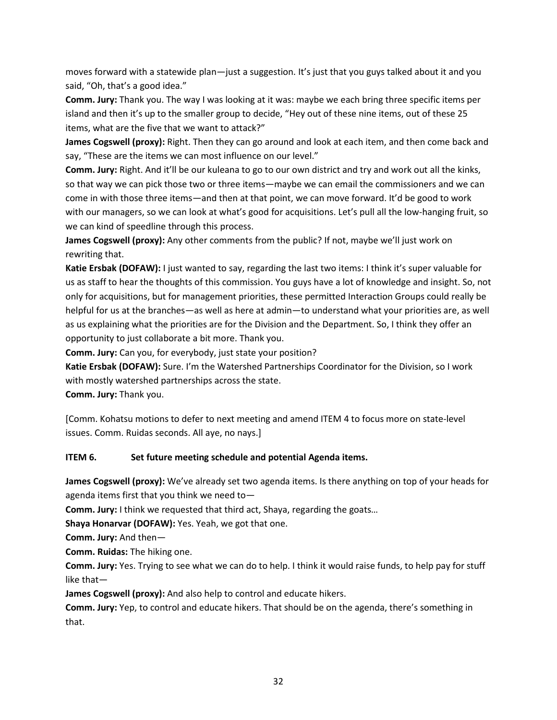moves forward with a statewide plan—just a suggestion. It's just that you guys talked about it and you said, "Oh, that's a good idea."

**Comm. Jury:** Thank you. The way I was looking at it was: maybe we each bring three specific items per island and then it's up to the smaller group to decide, "Hey out of these nine items, out of these 25 items, what are the five that we want to attack?"

**James Cogswell (proxy):** Right. Then they can go around and look at each item, and then come back and say, "These are the items we can most influence on our level."

**Comm. Jury:** Right. And it'll be our kuleana to go to our own district and try and work out all the kinks, so that way we can pick those two or three items—maybe we can email the commissioners and we can come in with those three items—and then at that point, we can move forward. It'd be good to work with our managers, so we can look at what's good for acquisitions. Let's pull all the low-hanging fruit, so we can kind of speedline through this process.

**James Cogswell (proxy):** Any other comments from the public? If not, maybe we'll just work on rewriting that.

**Katie Ersbak (DOFAW):** I just wanted to say, regarding the last two items: I think it's super valuable for us as staff to hear the thoughts of this commission. You guys have a lot of knowledge and insight. So, not only for acquisitions, but for management priorities, these permitted Interaction Groups could really be helpful for us at the branches—as well as here at admin—to understand what your priorities are, as well as us explaining what the priorities are for the Division and the Department. So, I think they offer an opportunity to just collaborate a bit more. Thank you.

**Comm. Jury:** Can you, for everybody, just state your position?

**Katie Ersbak (DOFAW):** Sure. I'm the Watershed Partnerships Coordinator for the Division, so I work with mostly watershed partnerships across the state.

**Comm. Jury:** Thank you.

[Comm. Kohatsu motions to defer to next meeting and amend ITEM 4 to focus more on state-level issues. Comm. Ruidas seconds. All aye, no nays.]

## **ITEM 6. Set future meeting schedule and potential Agenda items.**

**James Cogswell (proxy):** We've already set two agenda items. Is there anything on top of your heads for agenda items first that you think we need to—

**Comm. Jury:** I think we requested that third act, Shaya, regarding the goats…

**Shaya Honarvar (DOFAW):** Yes. Yeah, we got that one.

**Comm. Jury:** And then—

**Comm. Ruidas:** The hiking one.

**Comm. Jury:** Yes. Trying to see what we can do to help. I think it would raise funds, to help pay for stuff like that—

**James Cogswell (proxy):** And also help to control and educate hikers.

**Comm. Jury:** Yep, to control and educate hikers. That should be on the agenda, there's something in that.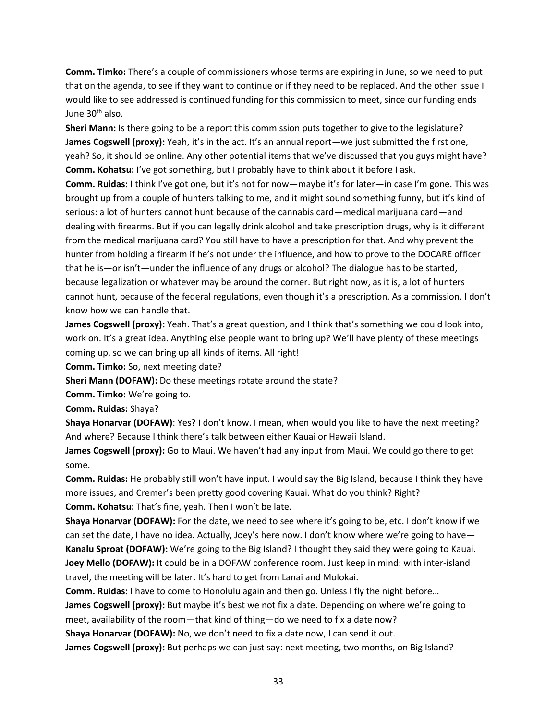**Comm. Timko:** There's a couple of commissioners whose terms are expiring in June, so we need to put that on the agenda, to see if they want to continue or if they need to be replaced. And the other issue I would like to see addressed is continued funding for this commission to meet, since our funding ends June 30<sup>th</sup> also.

**Sheri Mann:** Is there going to be a report this commission puts together to give to the legislature? **James Cogswell (proxy):** Yeah, it's in the act. It's an annual report—we just submitted the first one, yeah? So, it should be online. Any other potential items that we've discussed that you guys might have? **Comm. Kohatsu:** I've got something, but I probably have to think about it before I ask.

**Comm. Ruidas:** I think I've got one, but it's not for now—maybe it's for later—in case I'm gone. This was brought up from a couple of hunters talking to me, and it might sound something funny, but it's kind of serious: a lot of hunters cannot hunt because of the cannabis card—medical marijuana card—and dealing with firearms. But if you can legally drink alcohol and take prescription drugs, why is it different from the medical marijuana card? You still have to have a prescription for that. And why prevent the hunter from holding a firearm if he's not under the influence, and how to prove to the DOCARE officer that he is—or isn't—under the influence of any drugs or alcohol? The dialogue has to be started, because legalization or whatever may be around the corner. But right now, as it is, a lot of hunters cannot hunt, because of the federal regulations, even though it's a prescription. As a commission, I don't know how we can handle that.

**James Cogswell (proxy):** Yeah. That's a great question, and I think that's something we could look into, work on. It's a great idea. Anything else people want to bring up? We'll have plenty of these meetings coming up, so we can bring up all kinds of items. All right!

**Comm. Timko:** So, next meeting date?

**Sheri Mann (DOFAW):** Do these meetings rotate around the state?

**Comm. Timko:** We're going to.

**Comm. Ruidas:** Shaya?

**Shaya Honarvar (DOFAW)**: Yes? I don't know. I mean, when would you like to have the next meeting? And where? Because I think there's talk between either Kauai or Hawaii Island.

**James Cogswell (proxy):** Go to Maui. We haven't had any input from Maui. We could go there to get some.

**Comm. Ruidas:** He probably still won't have input. I would say the Big Island, because I think they have more issues, and Cremer's been pretty good covering Kauai. What do you think? Right? **Comm. Kohatsu:** That's fine, yeah. Then I won't be late.

**Shaya Honarvar (DOFAW):** For the date, we need to see where it's going to be, etc. I don't know if we can set the date, I have no idea. Actually, Joey's here now. I don't know where we're going to have— **Kanalu Sproat (DOFAW):** We're going to the Big Island? I thought they said they were going to Kauai. **Joey Mello (DOFAW):** It could be in a DOFAW conference room. Just keep in mind: with inter-island travel, the meeting will be later. It's hard to get from Lanai and Molokai.

**Comm. Ruidas:** I have to come to Honolulu again and then go. Unless I fly the night before…

**James Cogswell (proxy):** But maybe it's best we not fix a date. Depending on where we're going to meet, availability of the room—that kind of thing—do we need to fix a date now?

**Shaya Honarvar (DOFAW):** No, we don't need to fix a date now, I can send it out.

**James Cogswell (proxy):** But perhaps we can just say: next meeting, two months, on Big Island?